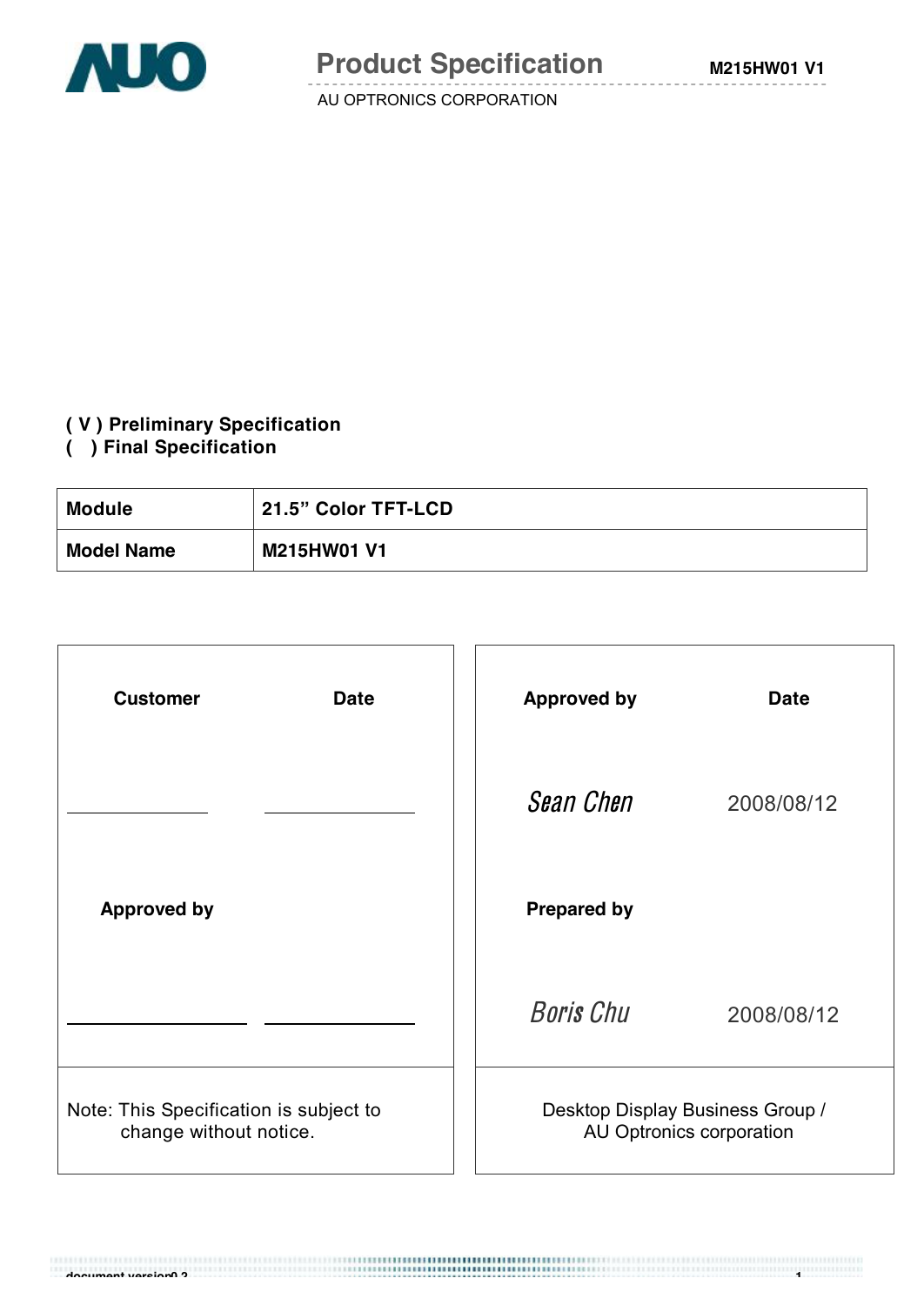

#### **( V ) Preliminary Specification**

#### **( ) Final Specification**

| Module            | <b>21.5" Color TFT-LCD</b> |
|-------------------|----------------------------|
| <b>Model Name</b> | <b>M215HW01 V1</b>         |

| <b>Customer</b><br><b>Date</b>                                   | <b>Approved by</b><br><b>Date</b>                            |  |
|------------------------------------------------------------------|--------------------------------------------------------------|--|
|                                                                  | <b>Sean Chen</b><br>2008/08/12                               |  |
| <b>Approved by</b>                                               | <b>Prepared by</b>                                           |  |
|                                                                  | <b>Boris Chu</b><br>2008/08/12                               |  |
| Note: This Specification is subject to<br>change without notice. | Desktop Display Business Group /<br>AU Optronics corporation |  |

**document version0 2 1**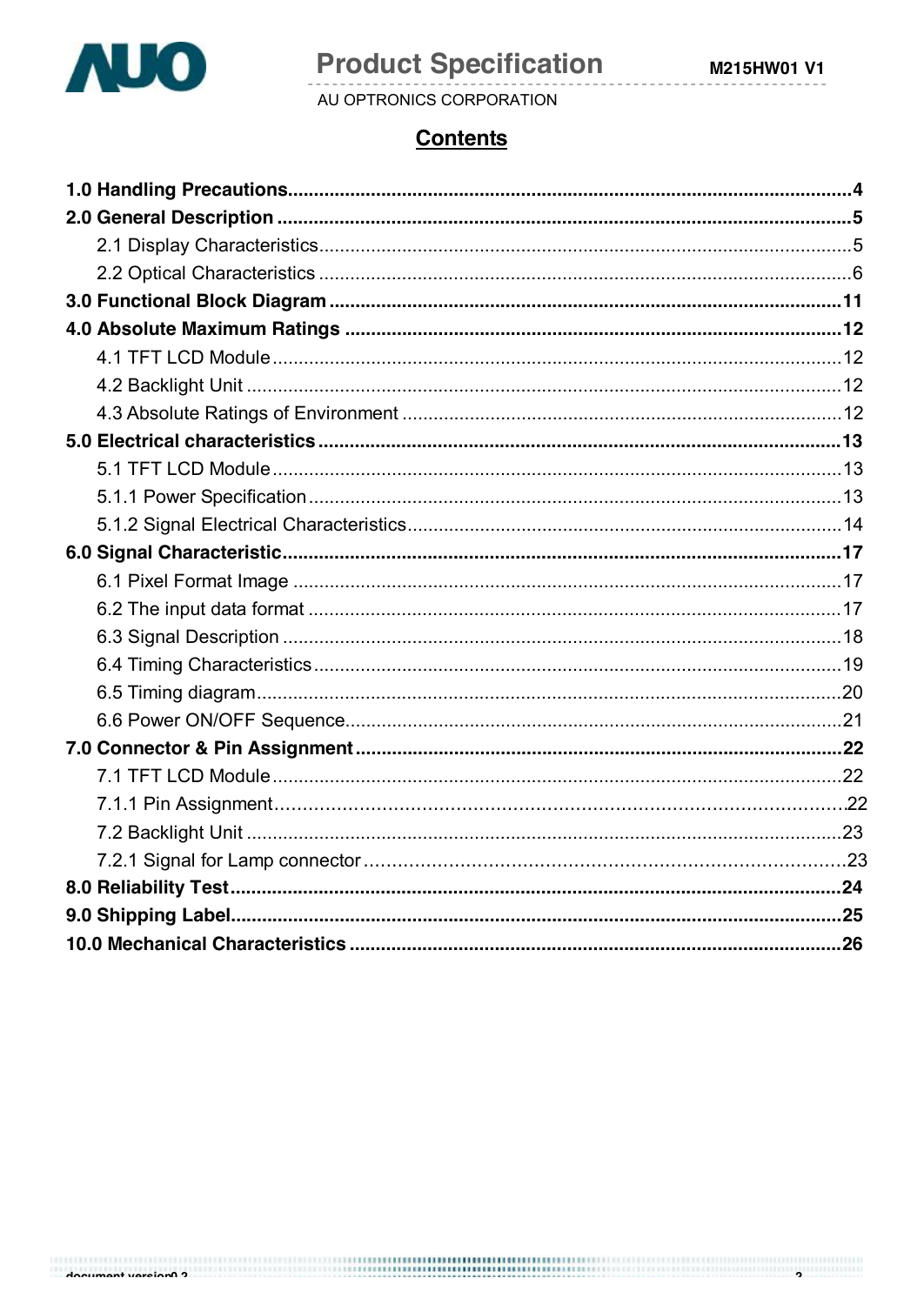

# **Product Specification**

AU OPTRONICS CORPORATION

# **Contents**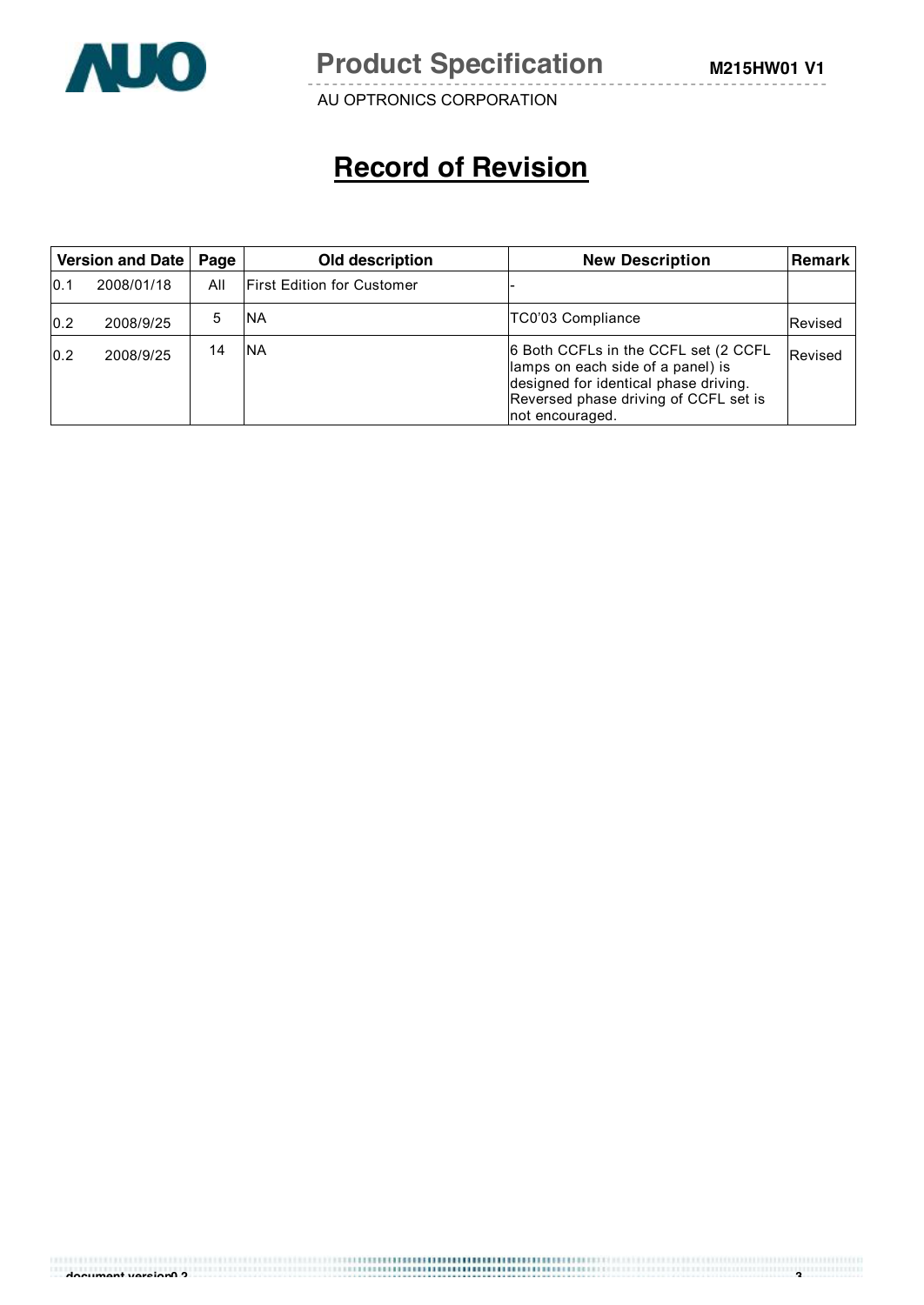

**Product Specification** M215HW01 V1

AU OPTRONICS CORPORATION

# **Record of Revision**

|      | Version and Date<br>Old description<br>Page |     | <b>New Description</b>            | ∣Remark l                                                                                                                                                                      |         |
|------|---------------------------------------------|-----|-----------------------------------|--------------------------------------------------------------------------------------------------------------------------------------------------------------------------------|---------|
| 10.1 | 2008/01/18                                  | All | <b>First Edition for Customer</b> |                                                                                                                                                                                |         |
| 0.2  | 2008/9/25                                   | 5   | INA                               | TC0'03 Compliance                                                                                                                                                              | Revised |
| 0.2  | 2008/9/25                                   | 14  | <b>INA</b>                        | 6 Both CCFLs in the CCFL set (2 CCFL<br>lamps on each side of a panel) is<br>designed for identical phase driving.<br>Reversed phase driving of CCFL set is<br>not encouraged. | Revised |

**document version0 2 3**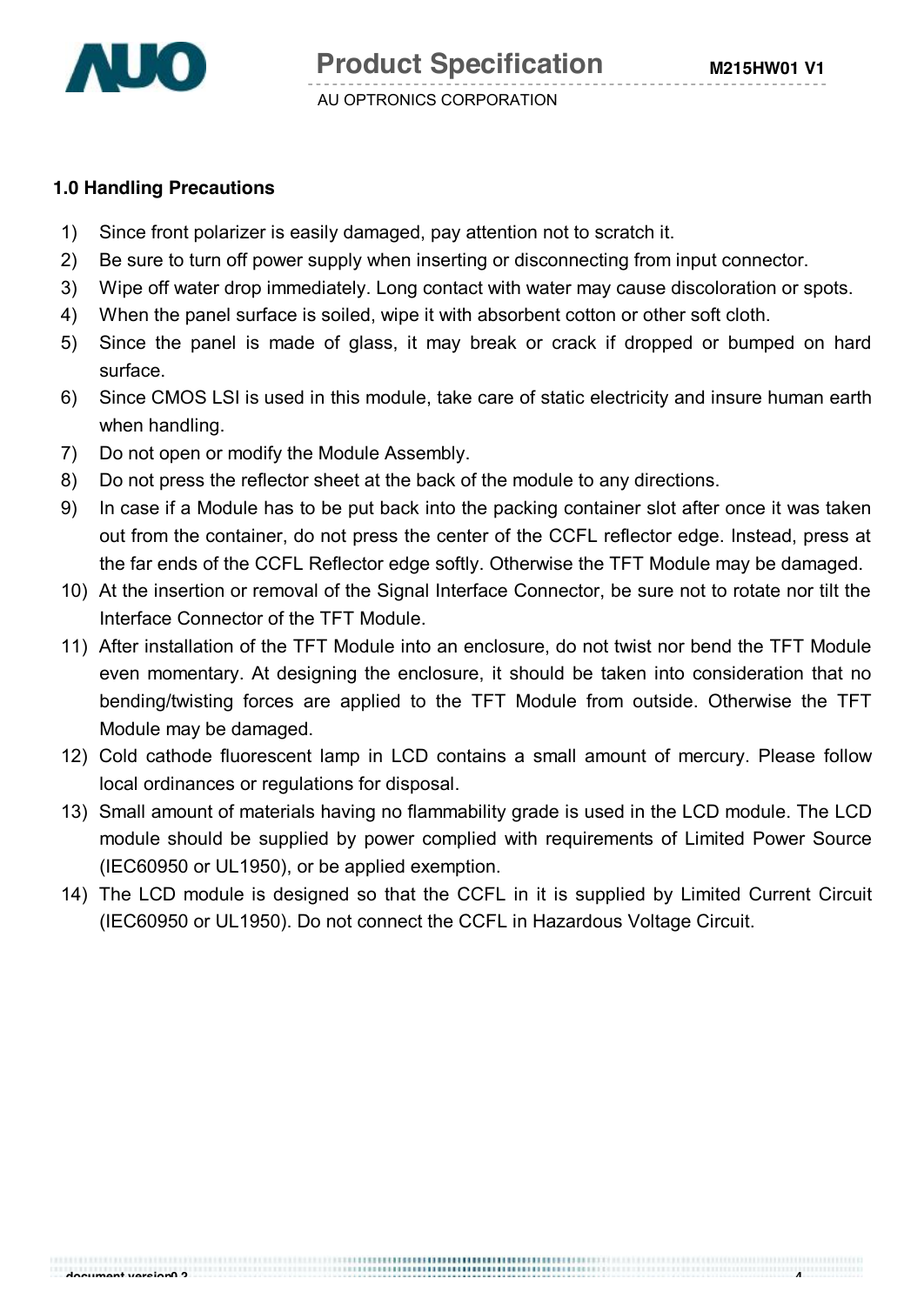

#### **1.0 Handling Precautions**

- 1) Since front polarizer is easily damaged, pay attention not to scratch it.
- 2) Be sure to turn off power supply when inserting or disconnecting from input connector.
- 3) Wipe off water drop immediately. Long contact with water may cause discoloration or spots.
- 4) When the panel surface is soiled, wipe it with absorbent cotton or other soft cloth.
- 5) Since the panel is made of glass, it may break or crack if dropped or bumped on hard surface.
- 6) Since CMOS LSI is used in this module, take care of static electricity and insure human earth when handling.
- 7) Do not open or modify the Module Assembly.
- 8) Do not press the reflector sheet at the back of the module to any directions.
- 9) In case if a Module has to be put back into the packing container slot after once it was taken out from the container, do not press the center of the CCFL reflector edge. Instead, press at the far ends of the CCFL Reflector edge softly. Otherwise the TFT Module may be damaged.
- 10) At the insertion or removal of the Signal Interface Connector, be sure not to rotate nor tilt the Interface Connector of the TFT Module.
- 11) After installation of the TFT Module into an enclosure, do not twist nor bend the TFT Module even momentary. At designing the enclosure, it should be taken into consideration that no bending/twisting forces are applied to the TFT Module from outside. Otherwise the TFT Module may be damaged.
- 12) Cold cathode fluorescent lamp in LCD contains a small amount of mercury. Please follow local ordinances or regulations for disposal.
- 13) Small amount of materials having no flammability grade is used in the LCD module. The LCD module should be supplied by power complied with requirements of Limited Power Source (IEC60950 or UL1950), or be applied exemption.
- 14) The LCD module is designed so that the CCFL in it is supplied by Limited Current Circuit (IEC60950 or UL1950). Do not connect the CCFL in Hazardous Voltage Circuit.

**document version0 2 4**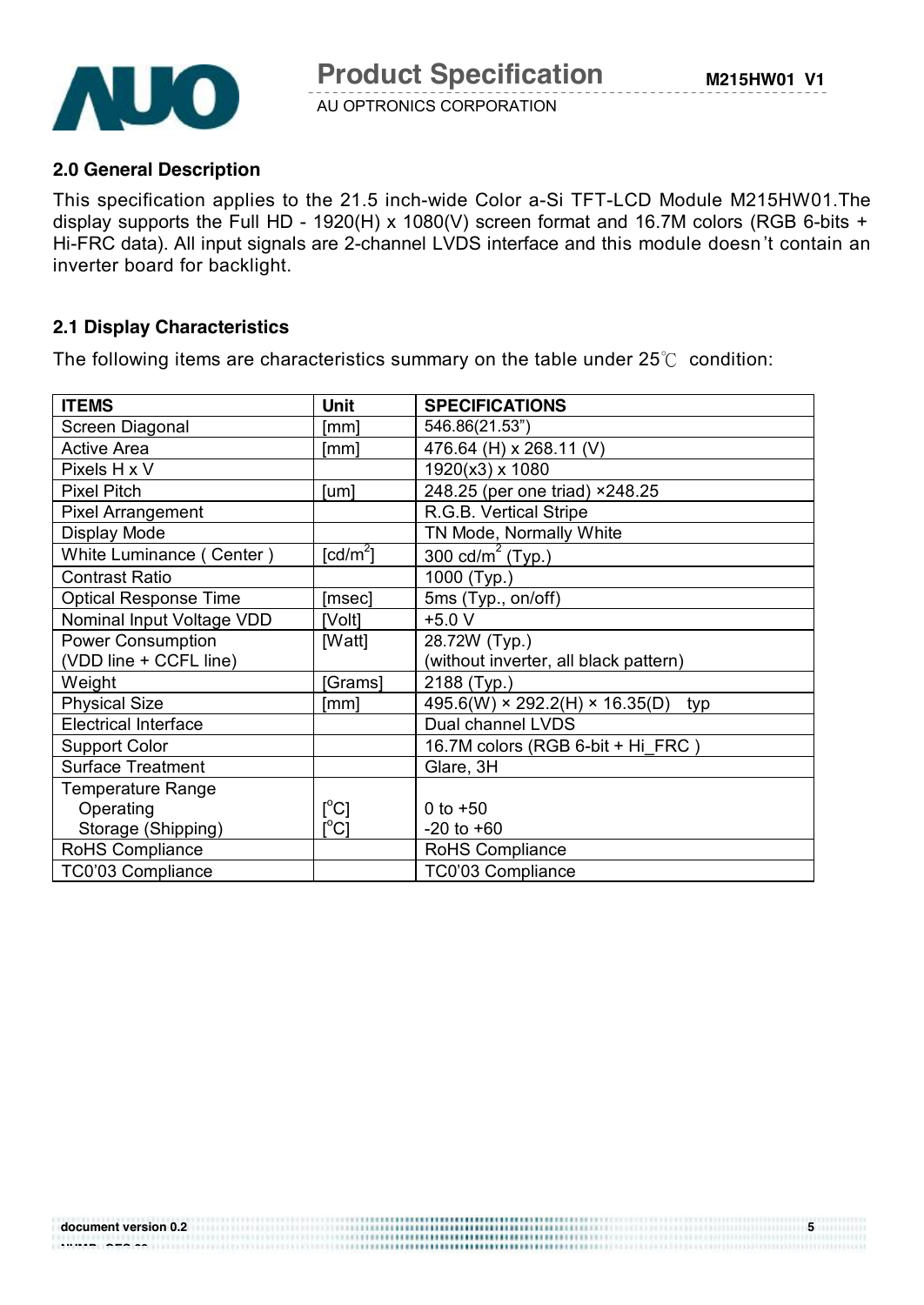

#### **2.0 General Description**

This specification applies to the 21.5 inch-wide Color a-Si TFT-LCD Module M215HW01.The display supports the Full HD - 1920(H) x 1080(V) screen format and 16.7M colors (RGB 6-bits + Hi-FRC data). All input signals are 2-channel LVDS interface and this module doesn 't contain an inverter board for backlight.

#### **2.1 Display Characteristics**

The following items are characteristics summary on the table under 25℃ condition:

| <b>ITEMS</b>                 | Unit                                    | <b>SPECIFICATIONS</b>                             |
|------------------------------|-----------------------------------------|---------------------------------------------------|
| Screen Diagonal              | [mm]                                    | 546.86(21.53")                                    |
| <b>Active Area</b>           | [mm]                                    | 476.64 (H) x 268.11 (V)                           |
| Pixels H x V                 |                                         | 1920(x3) x 1080                                   |
| <b>Pixel Pitch</b>           | [um]                                    | 248.25 (per one triad) ×248.25                    |
| <b>Pixel Arrangement</b>     |                                         | R.G.B. Vertical Stripe                            |
| Display Mode                 |                                         | TN Mode, Normally White                           |
| White Luminance (Center)     | $\lceil cd/m^2 \rceil$                  | $\overline{300}$ cd/m <sup>2</sup> (Typ.)         |
| <b>Contrast Ratio</b>        |                                         | 1000 (Typ.)                                       |
| <b>Optical Response Time</b> | [msec]                                  | 5ms (Typ., on/off)                                |
| Nominal Input Voltage VDD    | [Volt]                                  | $+5.0 V$                                          |
| Power Consumption            | [Watt]                                  | 28.72W (Typ.)                                     |
| (VDD line + CCFL line)       |                                         | (without inverter, all black pattern)             |
| Weight                       | [Grams]                                 | 2188 (Typ.)                                       |
| <b>Physical Size</b>         | [mm]                                    | $495.6(W) \times 292.2(H) \times 16.35(D)$<br>typ |
| <b>Electrical Interface</b>  |                                         | Dual channel LVDS                                 |
| <b>Support Color</b>         |                                         | 16.7M colors (RGB 6-bit + Hi_FRC)                 |
| <b>Surface Treatment</b>     |                                         | Glare, 3H                                         |
| <b>Temperature Range</b>     |                                         |                                                   |
| Operating                    | $[^{\circ}C]$                           | 0 to $+50$                                        |
| Storage (Shipping)           | $\mathsf{I}^\circ\mathsf{C} \mathsf{I}$ | $-20$ to $+60$                                    |
| RoHS Compliance              |                                         | RoHS Compliance                                   |
| TC0'03 Compliance            |                                         | TC0'03 Compliance                                 |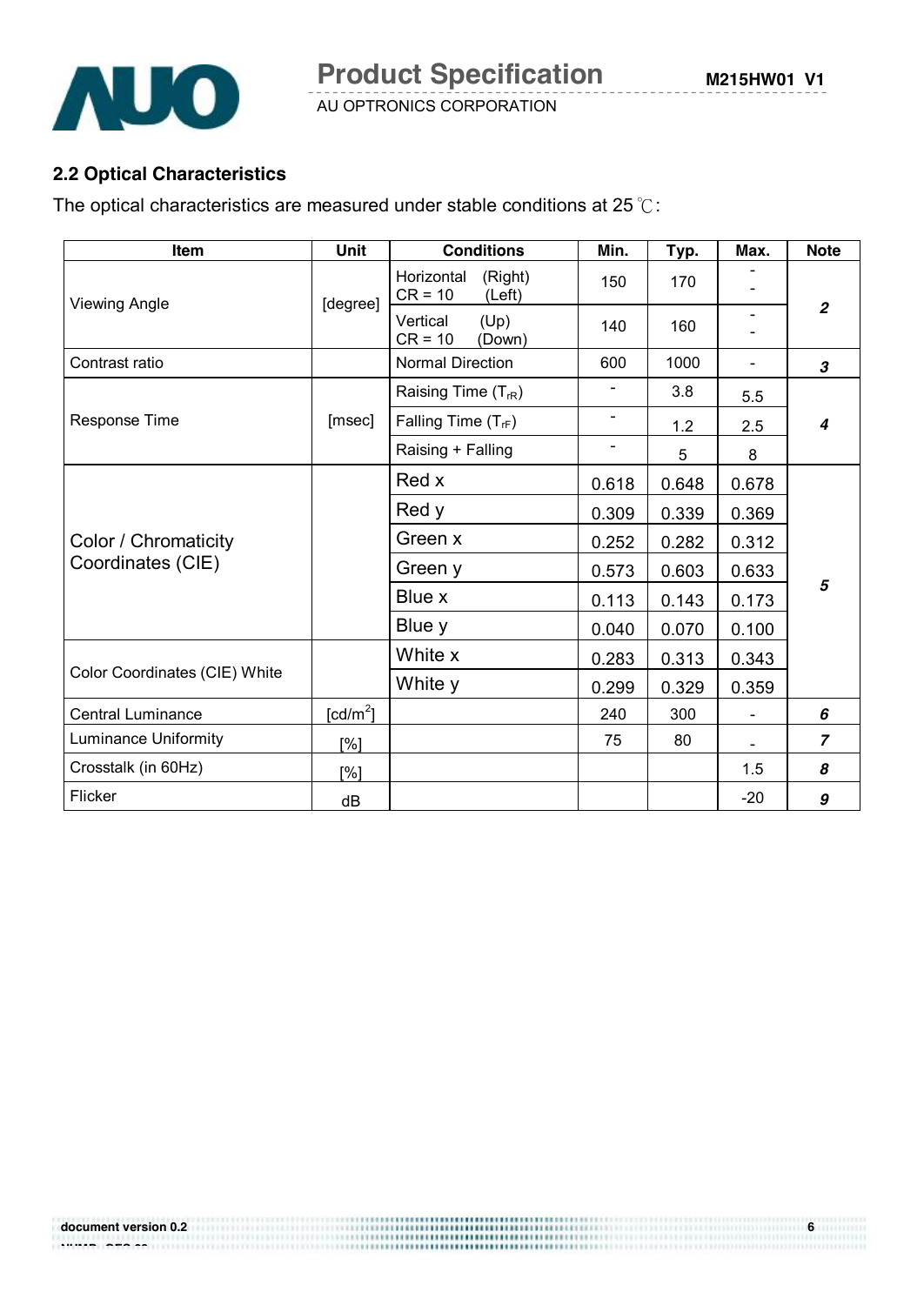

# **2.2 Optical Characteristics**

The optical characteristics are measured under stable conditions at 25 ℃:

| Item                          | <b>Unit</b> | <b>Conditions</b>                            | Min.           | Typ.  | Max.  | <b>Note</b>    |
|-------------------------------|-------------|----------------------------------------------|----------------|-------|-------|----------------|
| <b>Viewing Angle</b>          | [degree]    | (Right)<br>Horizontal<br>$CR = 10$<br>(Left) | 150            | 170   |       |                |
|                               |             | (Up)<br>Vertical<br>$CR = 10$<br>(Down)      | 140            | 160   |       | $\overline{2}$ |
| Contrast ratio                |             | <b>Normal Direction</b>                      | 600            | 1000  |       | 3              |
|                               |             | Raising Time $(T_{rR})$                      | $\blacksquare$ | 3.8   | 5.5   |                |
| <b>Response Time</b>          | [msec]      | Falling Time $(T_{\text{rf}})$               | $\blacksquare$ | 1.2   | 2.5   | 4              |
|                               |             | Raising + Falling                            | $\blacksquare$ | 5     | 8     |                |
|                               |             | Red x                                        | 0.618          | 0.648 | 0.678 |                |
|                               |             | Red y                                        | 0.309          | 0.339 | 0.369 | 5              |
| Color / Chromaticity          |             | Green x                                      | 0.252          | 0.282 | 0.312 |                |
| Coordinates (CIE)             |             | Green y                                      | 0.573          | 0.603 | 0.633 |                |
|                               |             | Blue x                                       | 0.113          | 0.143 | 0.173 |                |
|                               |             | Blue y                                       | 0.040          | 0.070 | 0.100 |                |
|                               |             | White x                                      | 0.283          | 0.313 | 0.343 |                |
| Color Coordinates (CIE) White |             | White y                                      | 0.299          | 0.329 | 0.359 |                |
| <b>Central Luminance</b>      | [ $cd/m2$ ] |                                              | 240            | 300   |       | 6              |
| <b>Luminance Uniformity</b>   | [%]         |                                              | 75             | 80    |       | $\overline{z}$ |
| Crosstalk (in 60Hz)           | [%]         |                                              |                |       | 1.5   | 8              |
| Flicker                       | dB          |                                              |                |       | $-20$ | 9              |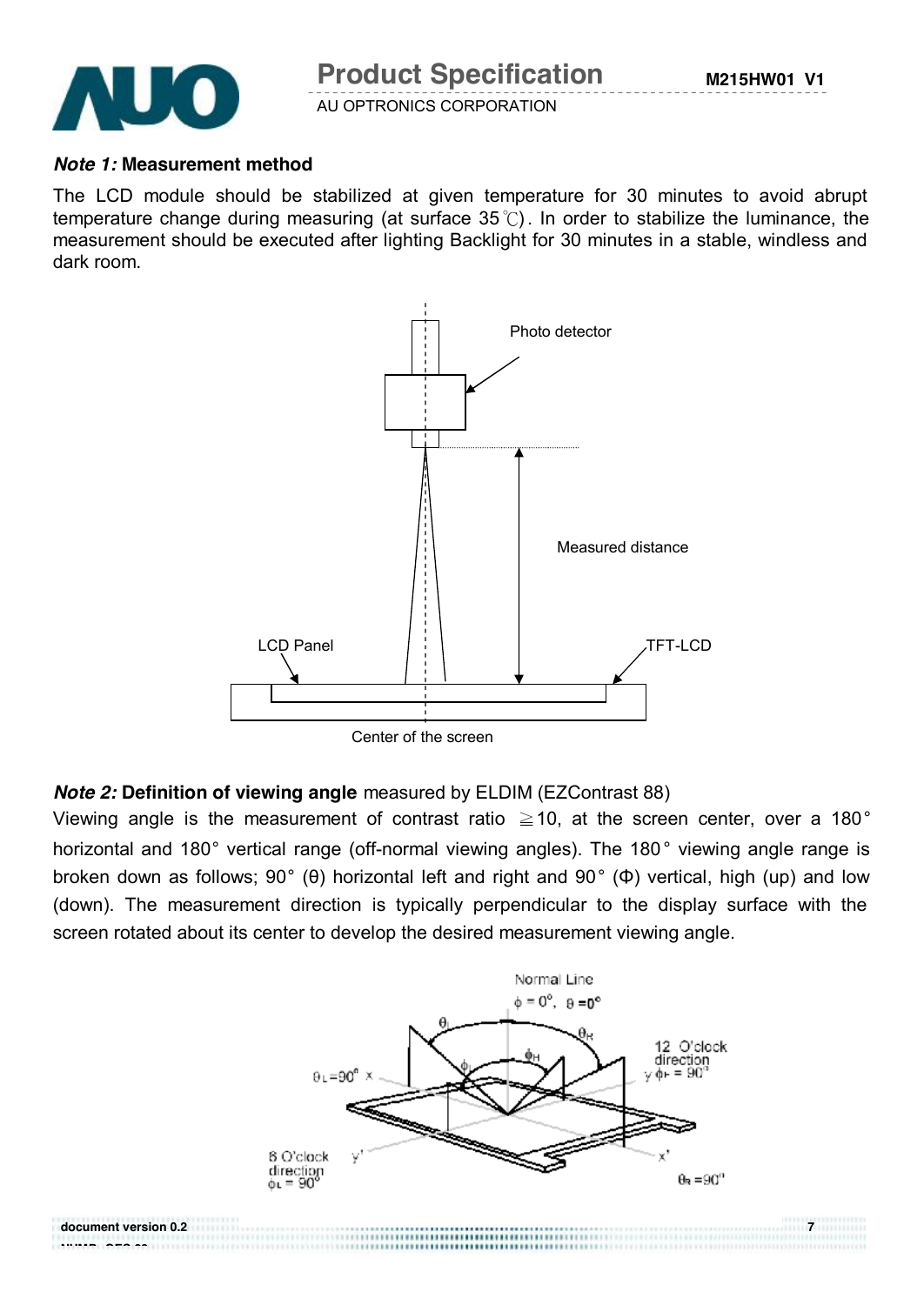

**NUMP GES 29**

AU OPTRONICS CORPORATION

#### *Note 1:* **Measurement method**

The LCD module should be stabilized at given temperature for 30 minutes to avoid abrupt temperature change during measuring (at surface  $35^{\circ}$ ). In order to stabilize the luminance, the measurement should be executed after lighting Backlight for 30 minutes in a stable, windless and dark room.



### *Note 2:* **Definition of viewing angle** measured by ELDIM (EZContrast 88)

Viewing angle is the measurement of contrast ratio  $\geq$  10, at the screen center, over a 180 $^{\circ}$ horizontal and 180° vertical range (off-normal viewing angles). The 180° viewing angle range is broken down as follows; 90° (θ) horizontal left and right and 90° (Φ) vertical, high (up) and low (down). The measurement direction is typically perpendicular to the display surface with the screen rotated about its center to develop the desired measurement viewing angle.

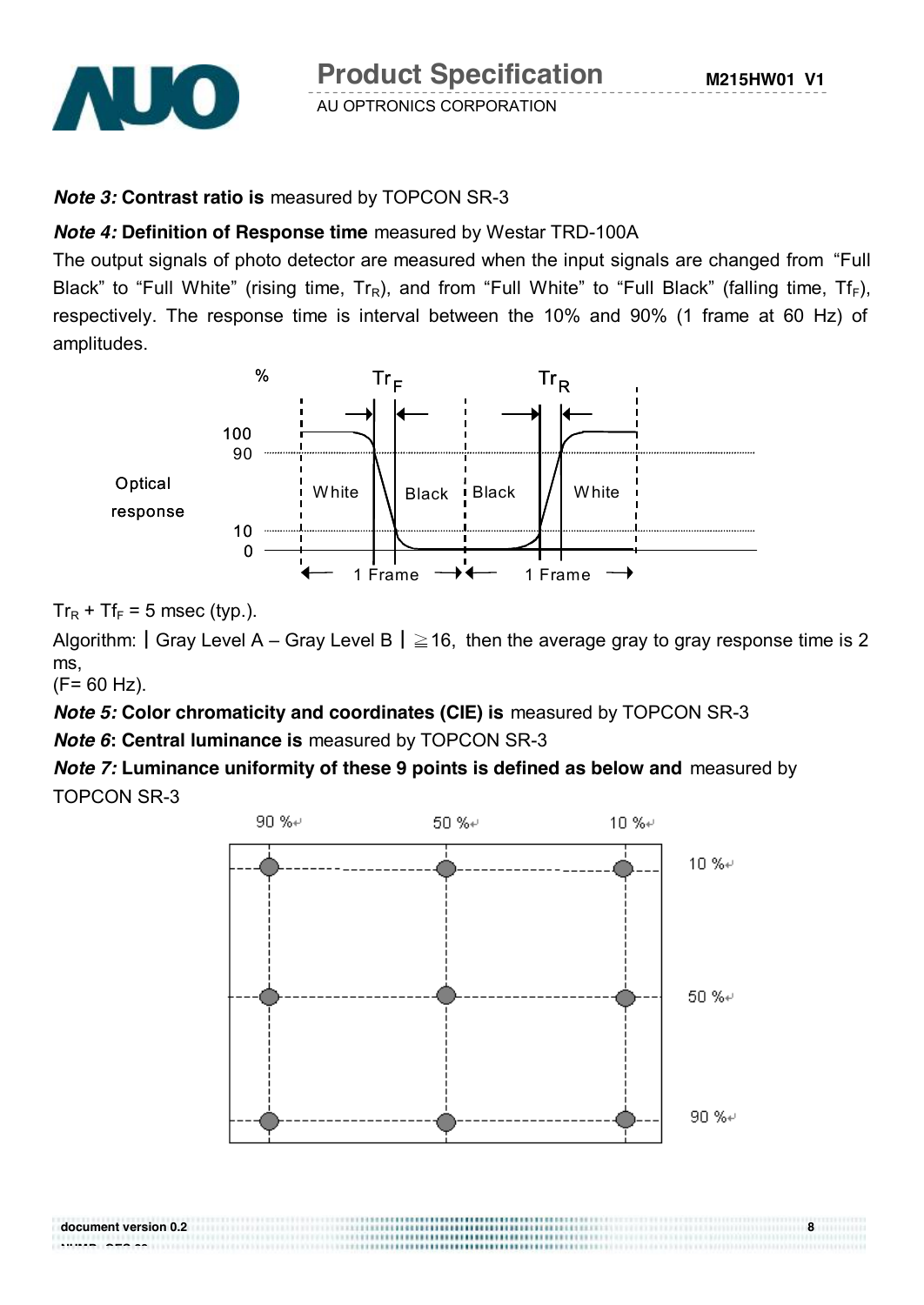

**Product Specification** 

AU OPTRONICS CORPORATION

## *Note 3:* **Contrast ratio is** measured by TOPCON SR-3

### *Note 4:* **Definition of Response time** measured by Westar TRD-100A

The output signals of photo detector are measured when the input signals are changed from "Full Black" to "Full White" (rising time,  $Tr_R$ ), and from "Full White" to "Full Black" (falling time,  $Tr_F$ ), respectively. The response time is interval between the 10% and 90% (1 frame at 60 Hz) of amplitudes.



 $Tr_R$  + Tf<sub>F</sub> = 5 msec (typ.).

Algorithm:  $|Gray Level A - Gray Level B | \geq 16$ , then the average gray to gray response time is 2 ms,

(F= 60 Hz).

**NUMP GES 29**

*Note 5:* **Color chromaticity and coordinates (CIE) is** measured by TOPCON SR-3

*Note 6***: Central luminance is** measured by TOPCON SR-3

*Note 7:* **Luminance uniformity of these 9 points is defined as below and** measured by TOPCON SR-3



**document version 0.2 8**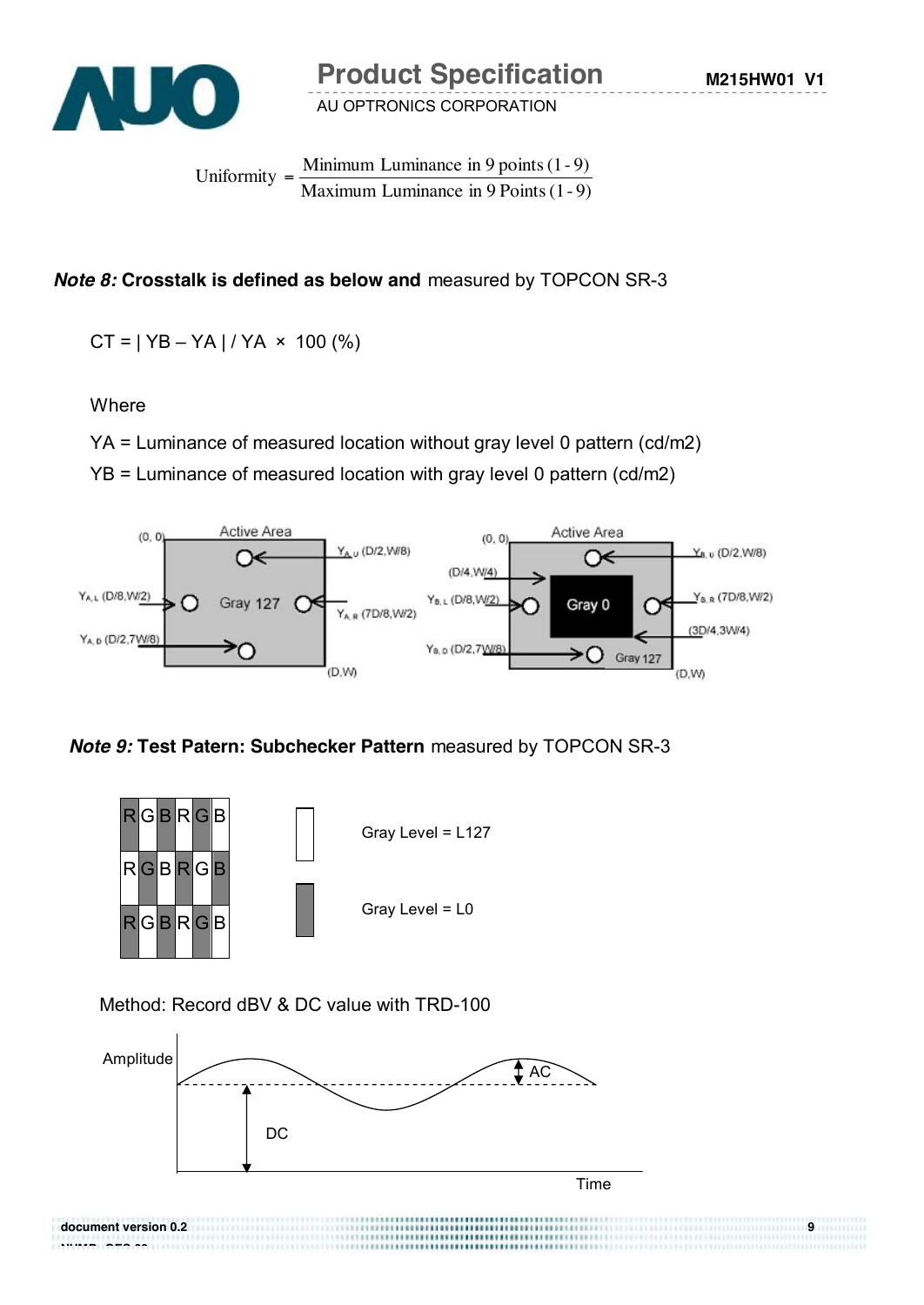

**M215HW01 V1**

AU OPTRONICS CORPORATION

Maximum Luminance in 9 Points  $(1 - 9)$ Uniformity =  $\frac{\text{Minimum}\, \text{Luminance}}{\text{in } 9 \text{ points } (1-9)}$ 

# *Note 8:* **Crosstalk is defined as below and** measured by TOPCON SR-3

 $CT = | YB - YA | / YA \times 100 (%)$ 

#### **Where**

YA = Luminance of measured location without gray level 0 pattern (cd/m2)

YB = Luminance of measured location with gray level 0 pattern (cd/m2)



*Note 9:* **Test Patern: Subchecker Pattern** measured by TOPCON SR-3



Method: Record dBV & DC value with TRD-100

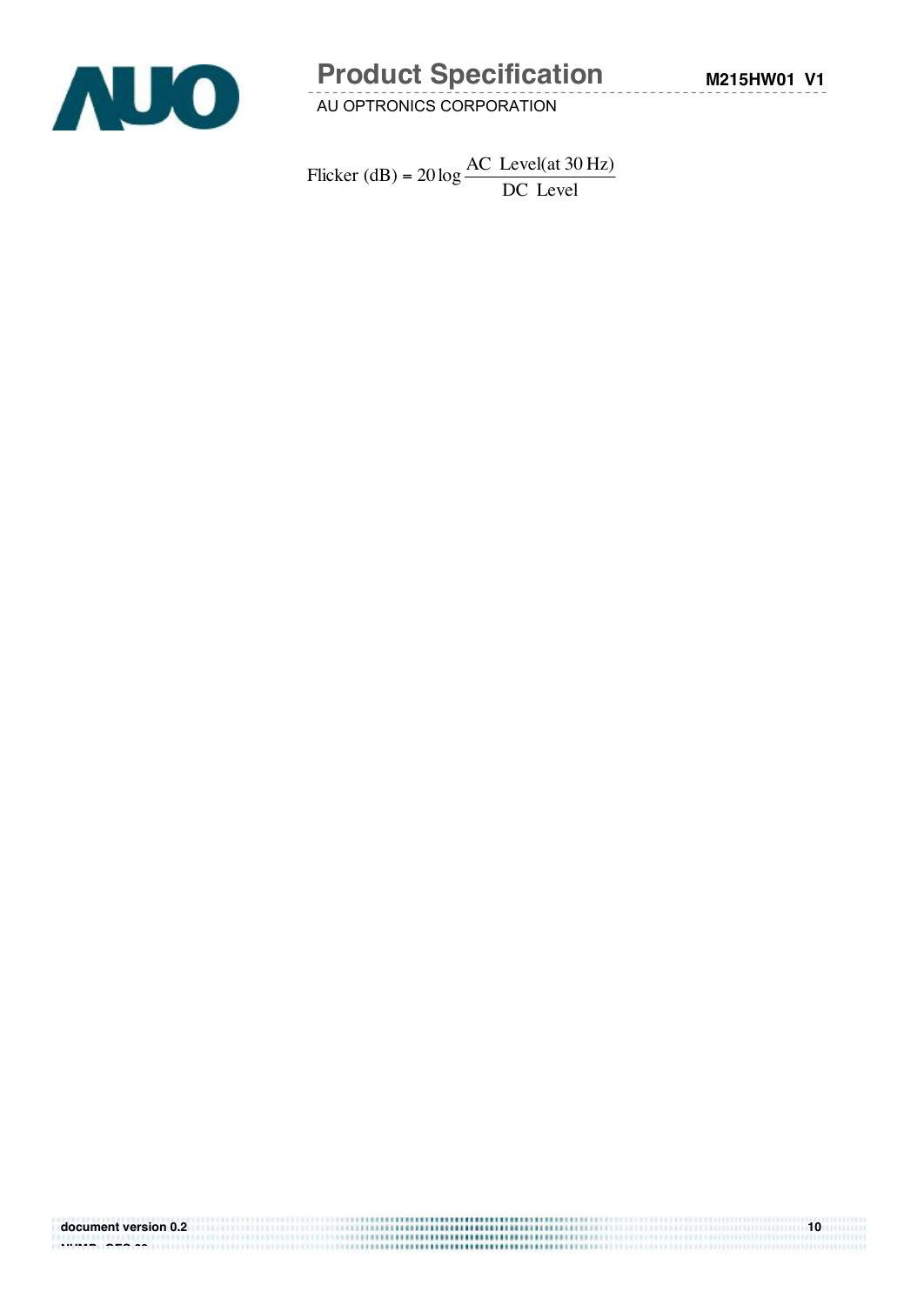

# **Product Specification**

AU OPTRONICS CORPORATION

DC Level Flicker (dB) =  $20 \log \frac{AC \text{ Level(at 30 Hz)}}{DG \text{ L}}$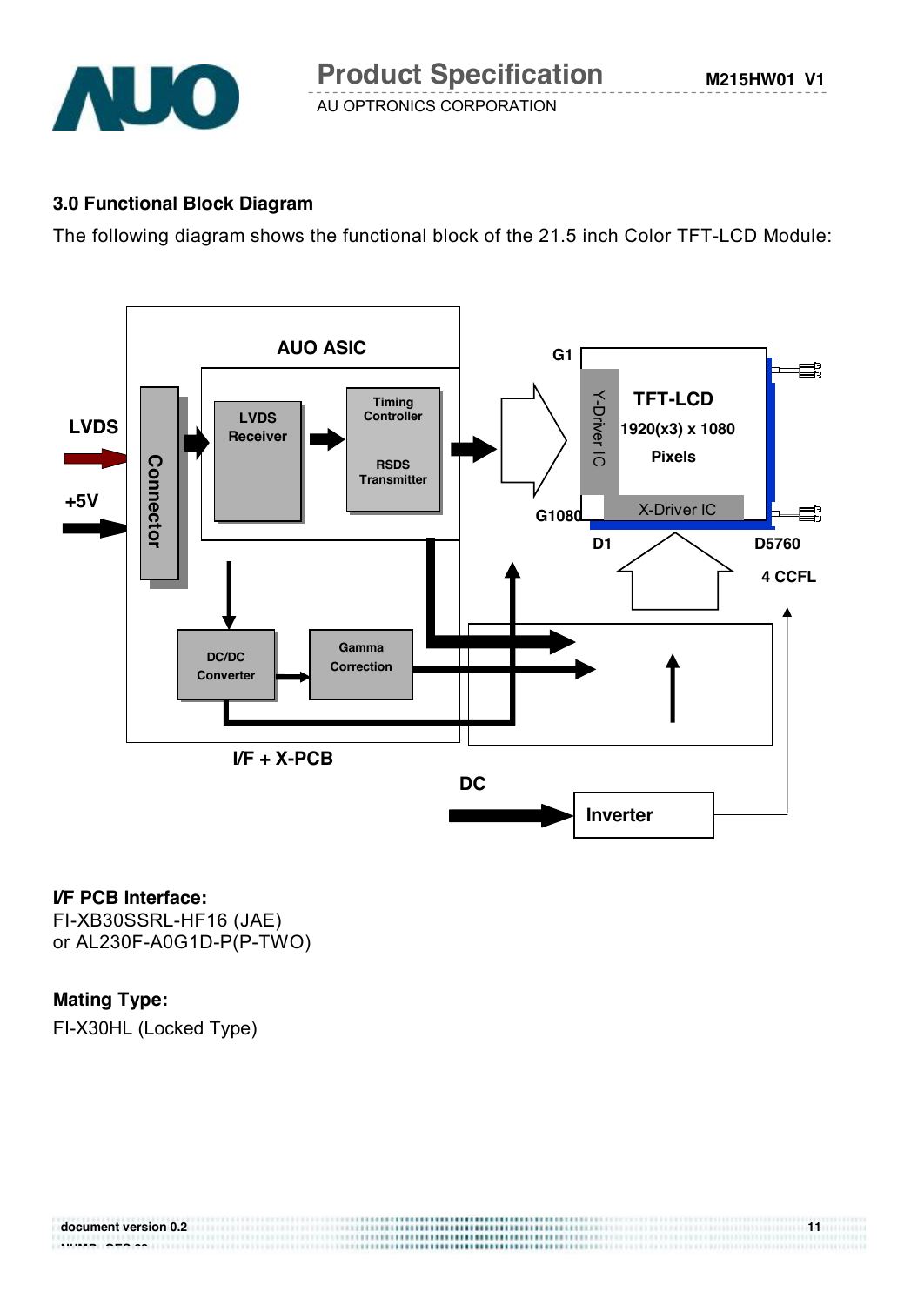

### **3.0 Functional Block Diagram**

The following diagram shows the functional block of the 21.5 inch Color TFT-LCD Module:



#### **I/F PCB Interface:**

FI-XB30SSRL-HF16 (JAE) or AL230F-A0G1D-P(P-TWO)

# **Mating Type:**

FI-X30HL (Locked Type)

| document version 0.2 | ,,,,,,,,,,,,,,,,,,,,,,,,,,,,,,,,,,,,,,  |  |
|----------------------|-----------------------------------------|--|
| -------<br>-----     | ,,,,,,,,,,,,,,,,,,,,,,,,,,,,,,,,,,,<br> |  |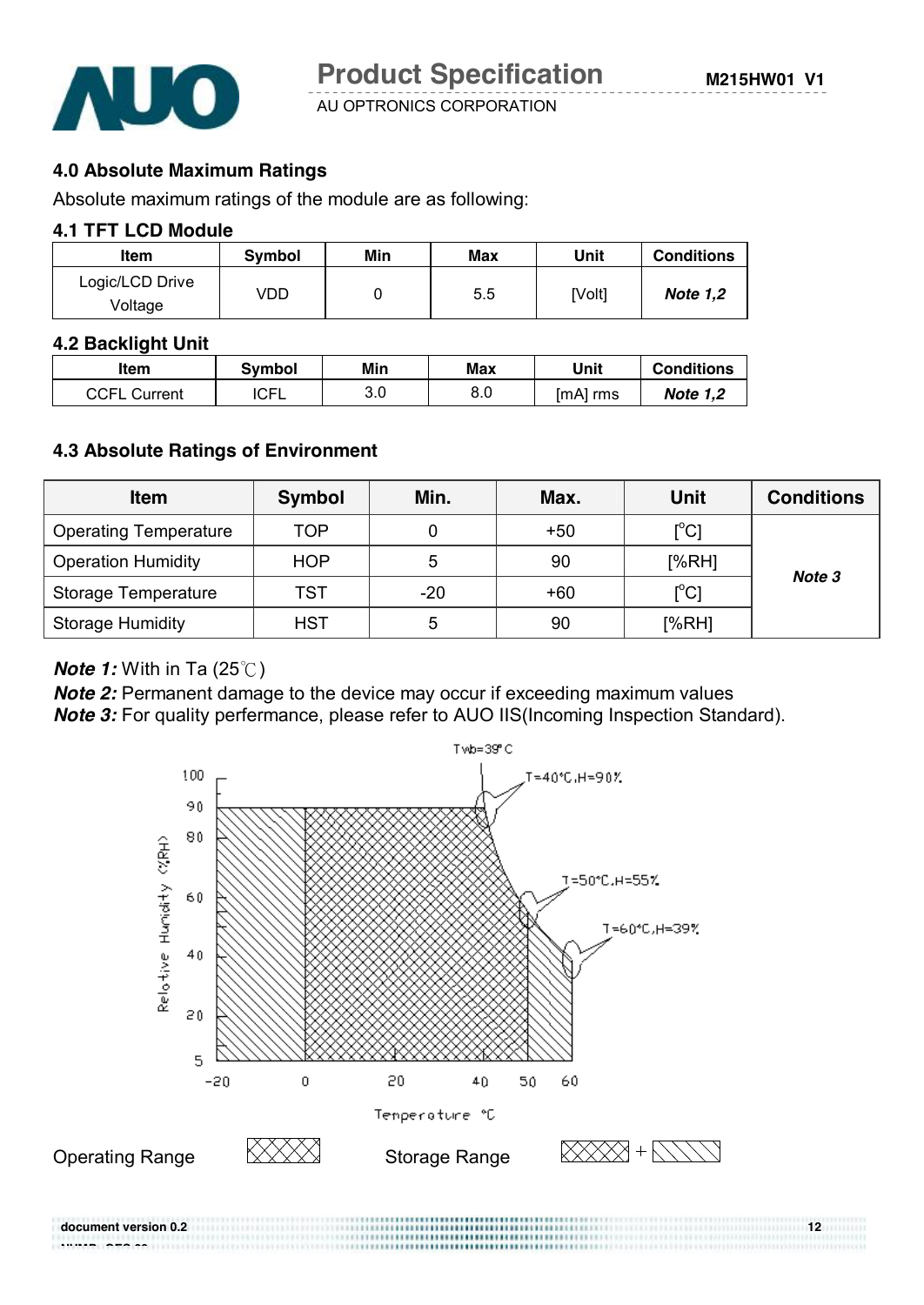

**M215HW01 V1**

AU OPTRONICS CORPORATION

### **4.0 Absolute Maximum Ratings**

Absolute maximum ratings of the module are as following:

#### **4.1 TFT LCD Module**

| <b>Item</b>                | Symbol | Min | Max | Unit   | <b>Conditions</b> |
|----------------------------|--------|-----|-----|--------|-------------------|
| Logic/LCD Drive<br>Voltage | VDD    |     | 5.5 | [Volt] | <b>Note 1,2</b>   |

#### **4.2 Backlight Unit**

| ltem                | <b>Symbol</b> | Min        | Max | Unit     | <b>Conditions</b> |
|---------------------|---------------|------------|-----|----------|-------------------|
| <b>CCFL Current</b> | <b>ICFL</b>   | ח מ<br>ა.u | 8.0 | [mA] rms | <b>Note 1,2</b>   |

#### **4.3 Absolute Ratings of Environment**

| <b>Item</b>                  | <b>Symbol</b> | Min.  | Max.  | <b>Unit</b>       | <b>Conditions</b> |
|------------------------------|---------------|-------|-------|-------------------|-------------------|
| <b>Operating Temperature</b> | <b>TOP</b>    | 0     | $+50$ | $[^{\circ}C]$     |                   |
| <b>Operation Humidity</b>    | <b>HOP</b>    | 5     | 90    | [%RH]             |                   |
| Storage Temperature          | TST           | $-20$ | $+60$ | $\rm [^{\circ}C]$ | Note 3            |
| <b>Storage Humidity</b>      | <b>HST</b>    | 5     | 90    | [%RH]             |                   |

#### *Note 1:* With in Ta (25℃)

**NUMP GES 29**

*Note 2:* Permanent damage to the device may occur if exceeding maximum values *Note 3:* For quality perfermance, please refer to AUO IIS(Incoming Inspection Standard).



**document version 0.2** 12

......................................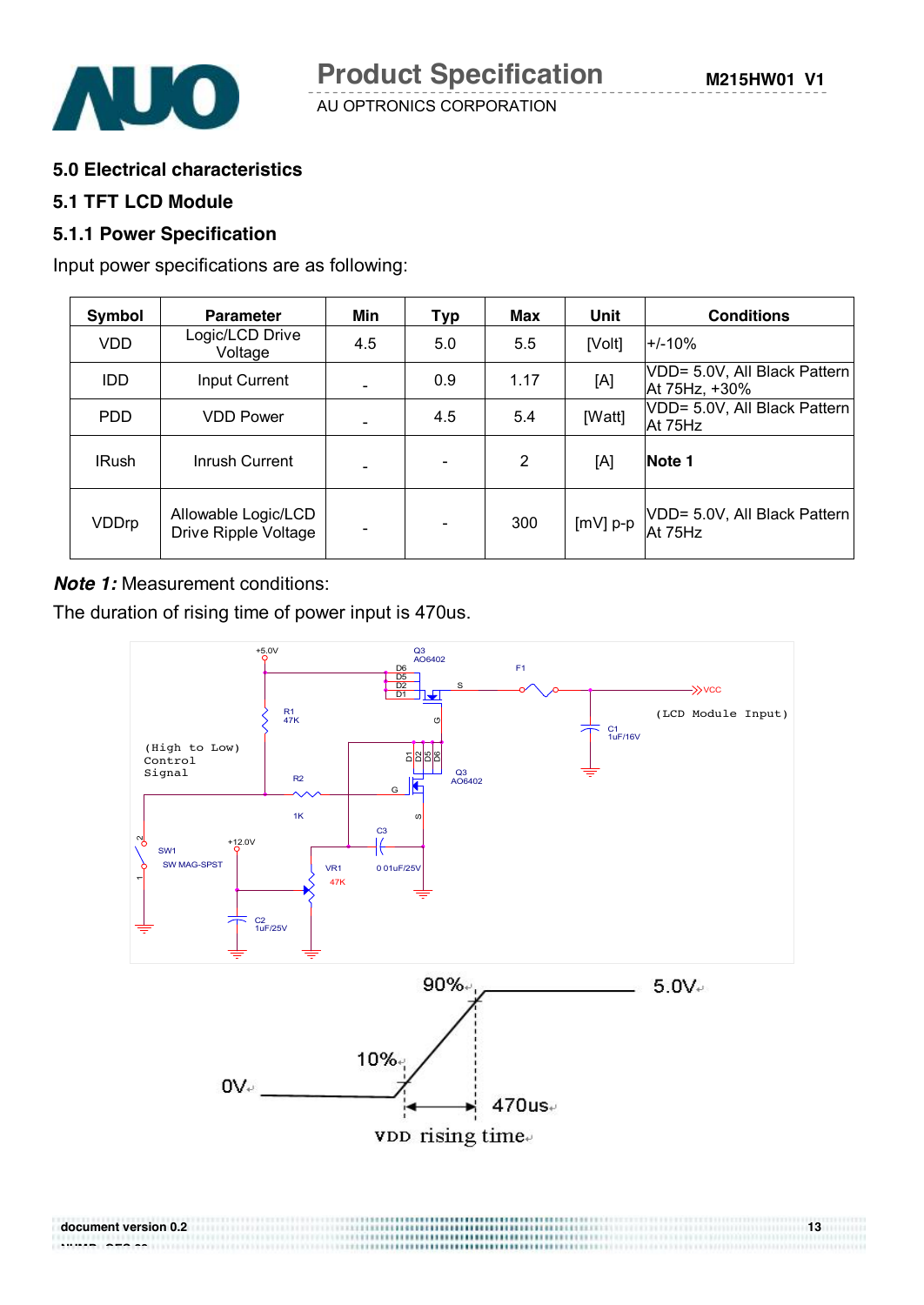

#### **5.0 Electrical characteristics**

#### **5.1 TFT LCD Module**

#### **5.1.1 Power Specification**

Input power specifications are as following:

| Symbol       | <b>Parameter</b>                            | Min | Typ | Max            | <b>Unit</b> | <b>Conditions</b>                             |
|--------------|---------------------------------------------|-----|-----|----------------|-------------|-----------------------------------------------|
| <b>VDD</b>   | Logic/LCD Drive<br>Voltage                  | 4.5 | 5.0 | 5.5            | [Volt]      | $+/-10%$                                      |
| <b>IDD</b>   | Input Current                               |     | 0.9 | 1.17           | [A]         | VDD= 5.0V, All Black Pattern<br>At 75Hz, +30% |
| <b>PDD</b>   | <b>VDD Power</b>                            |     | 4.5 | 5.4            | [Watt]      | VDD= 5.0V, All Black Pattern<br>At 75Hz       |
| <b>IRush</b> | Inrush Current                              |     |     | $\overline{2}$ | [A]         | Note 1                                        |
| VDDrp        | Allowable Logic/LCD<br>Drive Ripple Voltage |     |     | 300            | $[mV]$ p-p  | VDD= 5.0V, All Black Pattern<br>At 75Hz       |

**Note 1:** Measurement conditions:

The duration of rising time of power input is 470us.

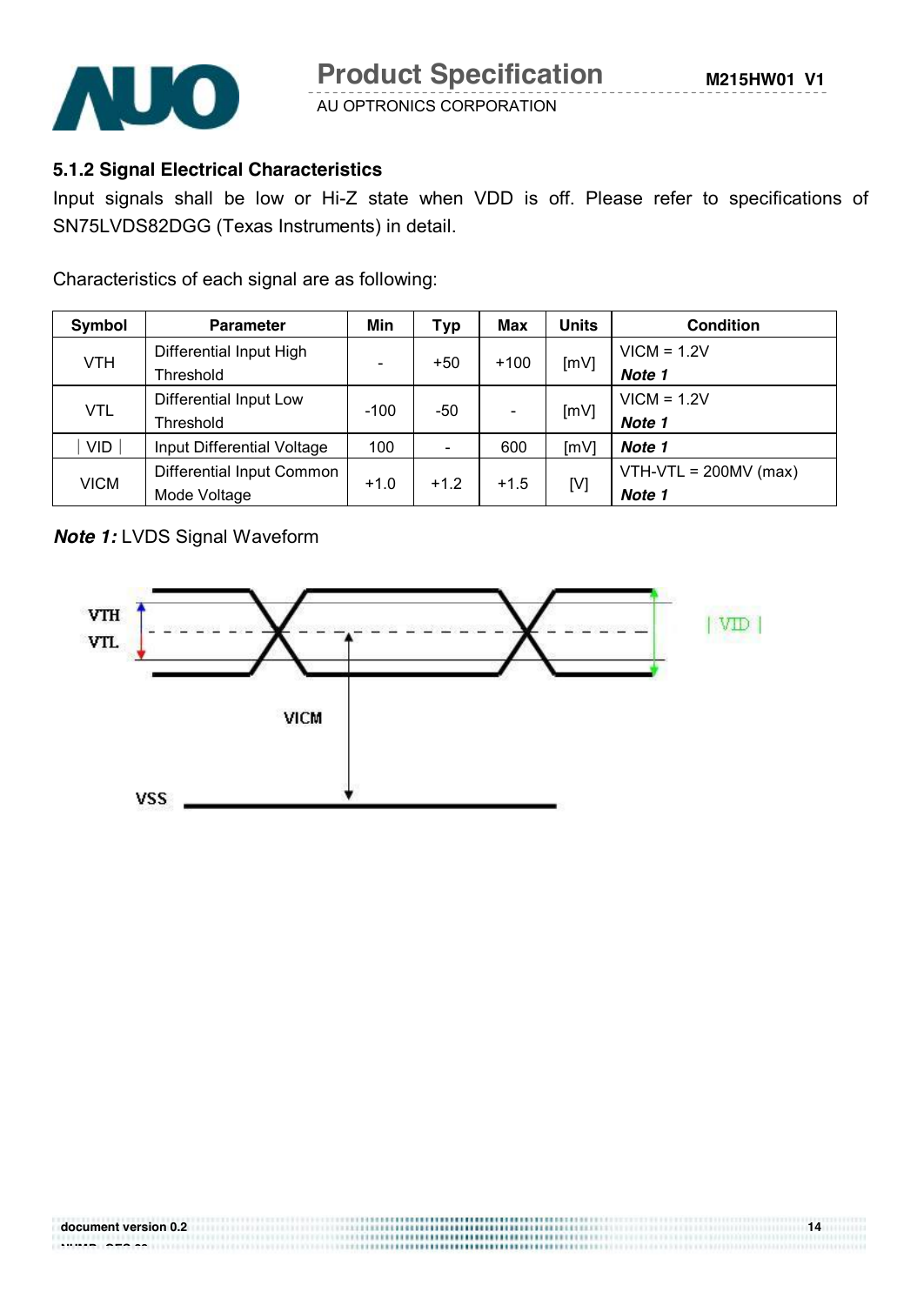

# **5.1.2 Signal Electrical Characteristics**

Input signals shall be low or Hi-Z state when VDD is off. Please refer to specifications of SN75LVDS82DGG (Texas Instruments) in detail.

Characteristics of each signal are as following:

| Symbol      | <b>Parameter</b>           | Min                          | Typ    | <b>Max</b> | <b>Units</b> | <b>Condition</b>        |
|-------------|----------------------------|------------------------------|--------|------------|--------------|-------------------------|
| <b>VTH</b>  | Differential Input High    |                              | $+50$  | $+100$     |              | $VICM = 1.2V$           |
|             | Threshold                  | $\qquad \qquad \blacksquare$ |        |            | [mV]         | Note 1                  |
|             | Differential Input Low     |                              |        |            |              | $VICM = 1.2V$           |
| <b>VTL</b>  | Threshold                  | $-100$                       | $-50$  |            | [mV]         | Note 1                  |
| <b>VID</b>  | Input Differential Voltage | 100                          |        | 600        | [mV]         | Note 1                  |
|             | Differential Input Common  |                              |        |            |              | $VTH-VTL = 200MV (max)$ |
| <b>VICM</b> | Mode Voltage               | $+1.0$                       | $+1.2$ | $+1.5$     | [V]          | Note 1                  |

## *Note 1:* LVDS Signal Waveform

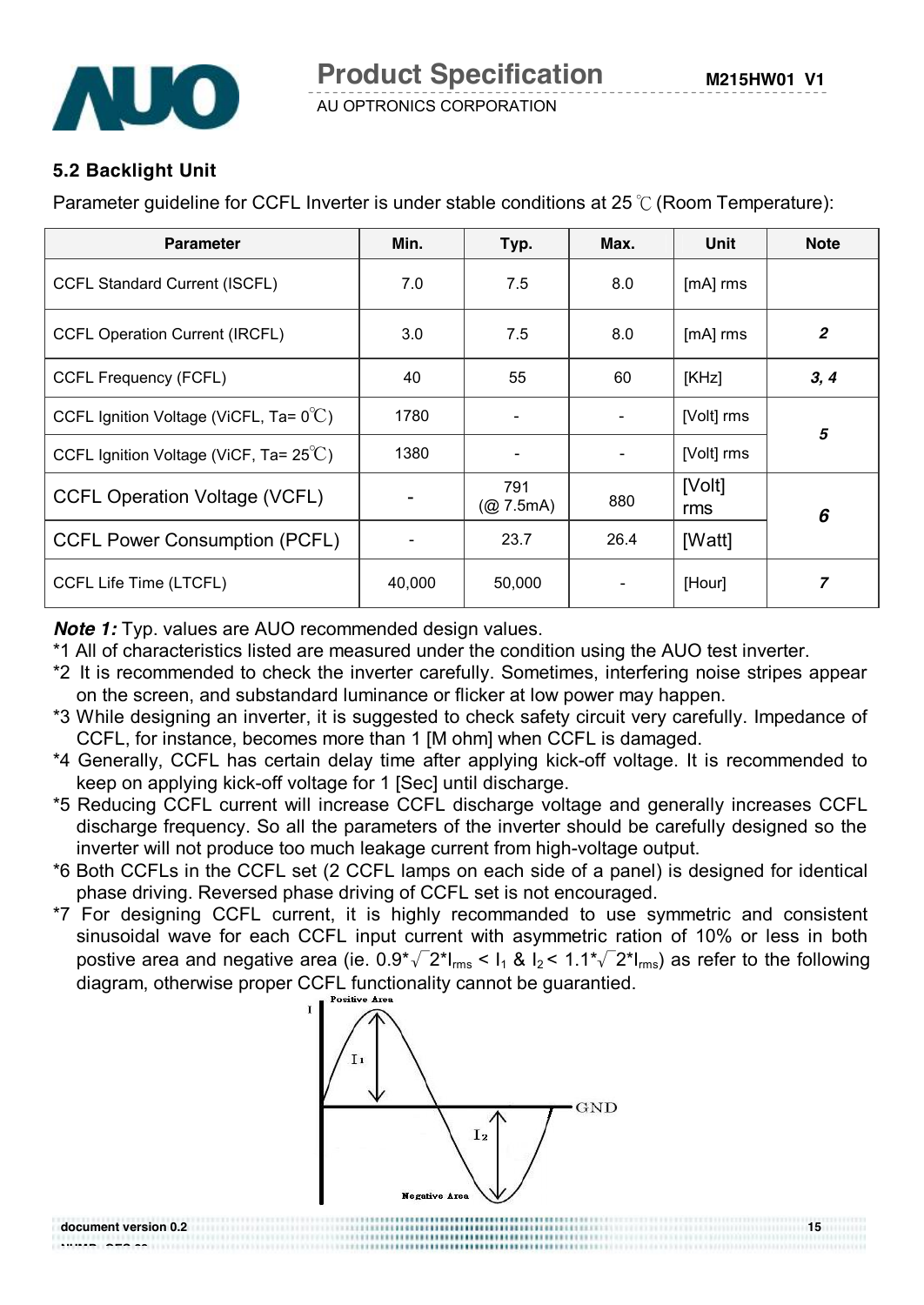

# **5.2 Backlight Unit**

**NUMP GES 29**

Parameter guideline for CCFL Inverter is under stable conditions at 25 ℃ (Room Temperature):

| <b>Parameter</b>                                 | Min.   | Typ.                     | Max. | Unit            | <b>Note</b>      |  |
|--------------------------------------------------|--------|--------------------------|------|-----------------|------------------|--|
| <b>CCFL Standard Current (ISCFL)</b>             | 7.0    | 7.5                      | 8.0  | $[mA]$ rms      |                  |  |
| <b>CCFL Operation Current (IRCFL)</b>            | 3.0    | 7.5                      | 8.0  | [mA] rms        | $\boldsymbol{2}$ |  |
| <b>CCFL Frequency (FCFL)</b>                     | 40     | 55                       | 60   | [KHz]           | 3, 4             |  |
| CCFL Ignition Voltage (ViCFL, Ta= $0^{\circ}$ C) | 1780   | $\overline{\phantom{a}}$ |      | [Volt] rms<br>5 |                  |  |
| CCFL Ignition Voltage (ViCF, Ta= $25^{\circ}$ C) | 1380   |                          |      | [Volt] rms      |                  |  |
| <b>CCFL Operation Voltage (VCFL)</b>             |        | 791<br>(Q2 7.5mA)        | 880  | [Volt]<br>rms   | 6                |  |
| <b>CCFL Power Consumption (PCFL)</b>             |        | 23.7                     | 26.4 | [Watt]          |                  |  |
| CCFL Life Time (LTCFL)                           | 40,000 | 50,000                   |      | [Hour]          | $\overline{z}$   |  |

*Note 1:* Typ. values are AUO recommended design values.

\*1 All of characteristics listed are measured under the condition using the AUO test inverter.

- \*2 It is recommended to check the inverter carefully. Sometimes, interfering noise stripes appear on the screen, and substandard luminance or flicker at low power may happen.
- \*3 While designing an inverter, it is suggested to check safety circuit very carefully. Impedance of CCFL, for instance, becomes more than 1 [M ohm] when CCFL is damaged.
- \*4 Generally, CCFL has certain delay time after applying kick-off voltage. It is recommended to keep on applying kick-off voltage for 1 [Sec] until discharge.
- \*5 Reducing CCFL current will increase CCFL discharge voltage and generally increases CCFL discharge frequency. So all the parameters of the inverter should be carefully designed so the inverter will not produce too much leakage current from high-voltage output.
- \*6 Both CCFLs in the CCFL set (2 CCFL lamps on each side of a panel) is designed for identical phase driving. Reversed phase driving of CCFL set is not encouraged.
- \*7 For designing CCFL current, it is highly recommanded to use symmetric and consistent sinusoidal wave for each CCFL input current with asymmetric ration of 10% or less in both postive area and negative area (ie.  $0.9^{\circ}$  $\sqrt{2}$ \* $I_{rms}$  <  $I_1$  &  $I_2$  <  $1.1^{\circ}$  $\sqrt{2}$ \* $I_{rms}$ ) as refer to the following diagram, otherwise proper CCFL functionality cannot be guarantied.



**document version 0.2** 15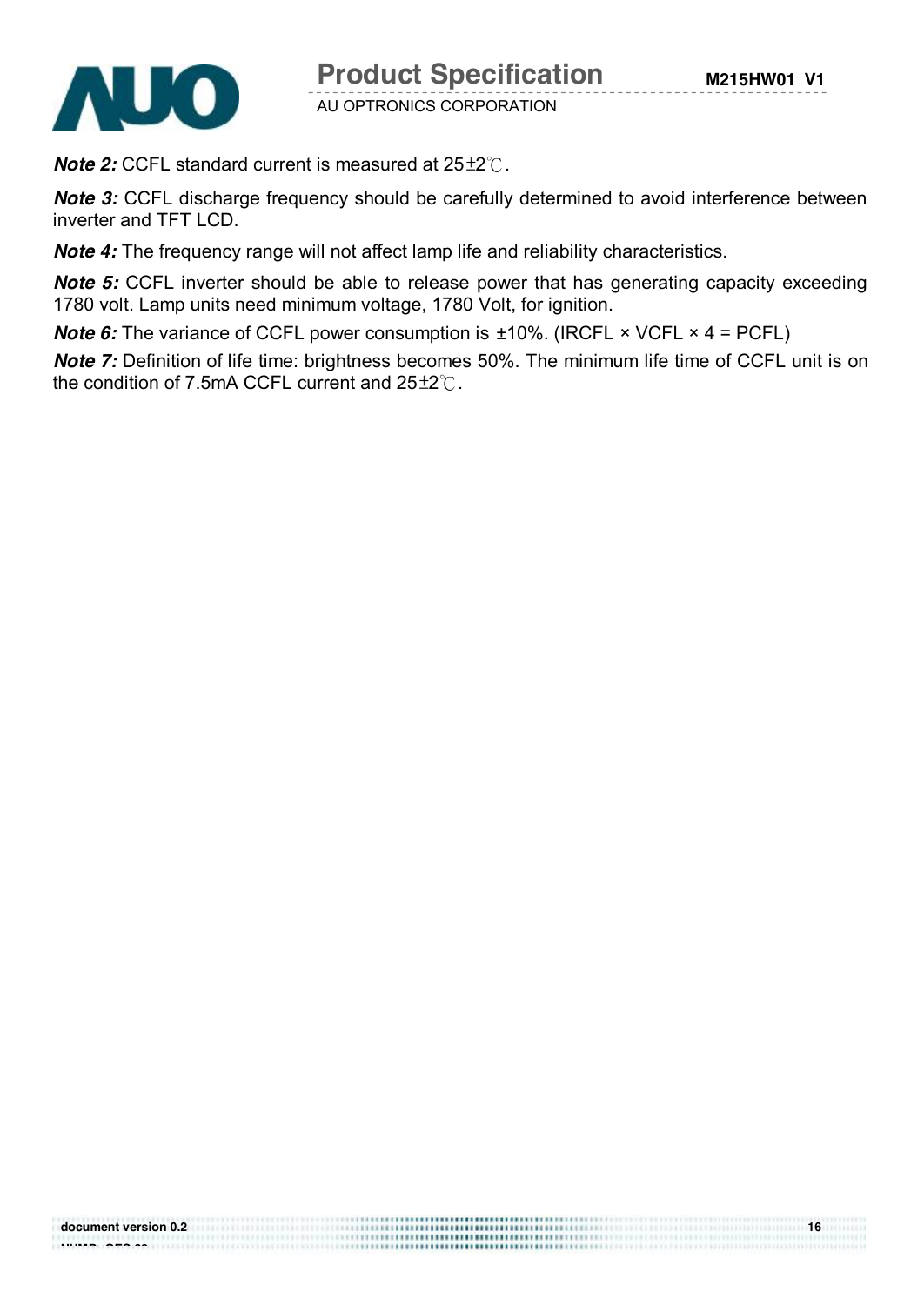

*Note 2:* CCFL standard current is measured at 25±2℃.

*Note* 3: CCFL discharge frequency should be carefully determined to avoid interference between inverter and TFT LCD.

*Note 4:* The frequency range will not affect lamp life and reliability characteristics.

**Note 5:** CCFL inverter should be able to release power that has generating capacity exceeding 1780 volt. Lamp units need minimum voltage, 1780 Volt, for ignition.

*Note 6:* The variance of CCFL power consumption is ±10%. (IRCFL × VCFL × 4 = PCFL)

*Note* 7: Definition of life time: brightness becomes 50%. The minimum life time of CCFL unit is on the condition of 7.5mA CCFL current and 25±2℃.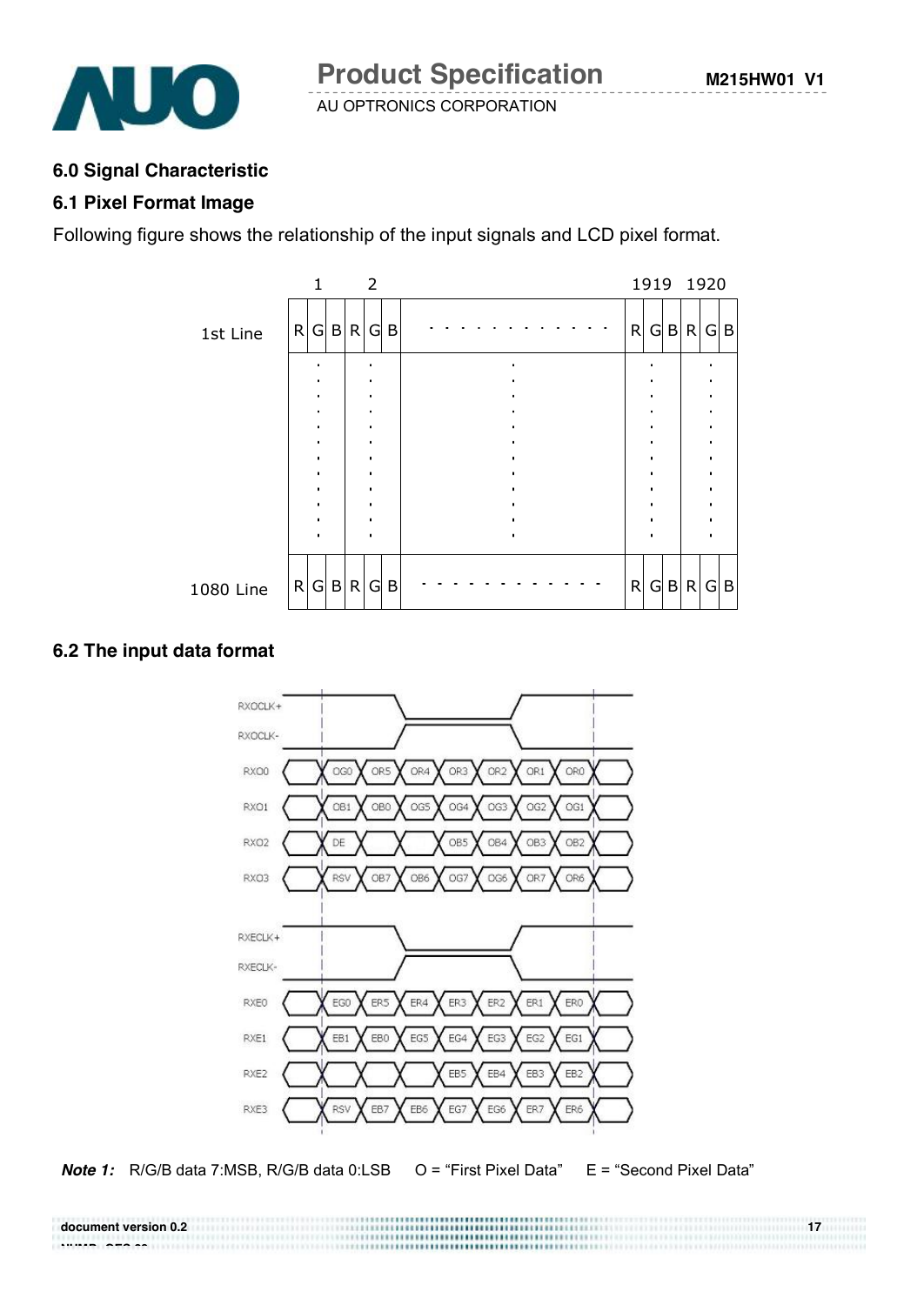

#### **6.0 Signal Characteristic**

#### **6.1 Pixel Format Image**

Following figure shows the relationship of the input signals and LCD pixel format.



#### **6.2 The input data format**

**NUMBER CONSTRUCTS** 



**Note 1:** R/G/B data 7:MSB, R/G/B data 0:LSB O = "First Pixel Data" E = "Second Pixel Data"

**document version 0.2** 17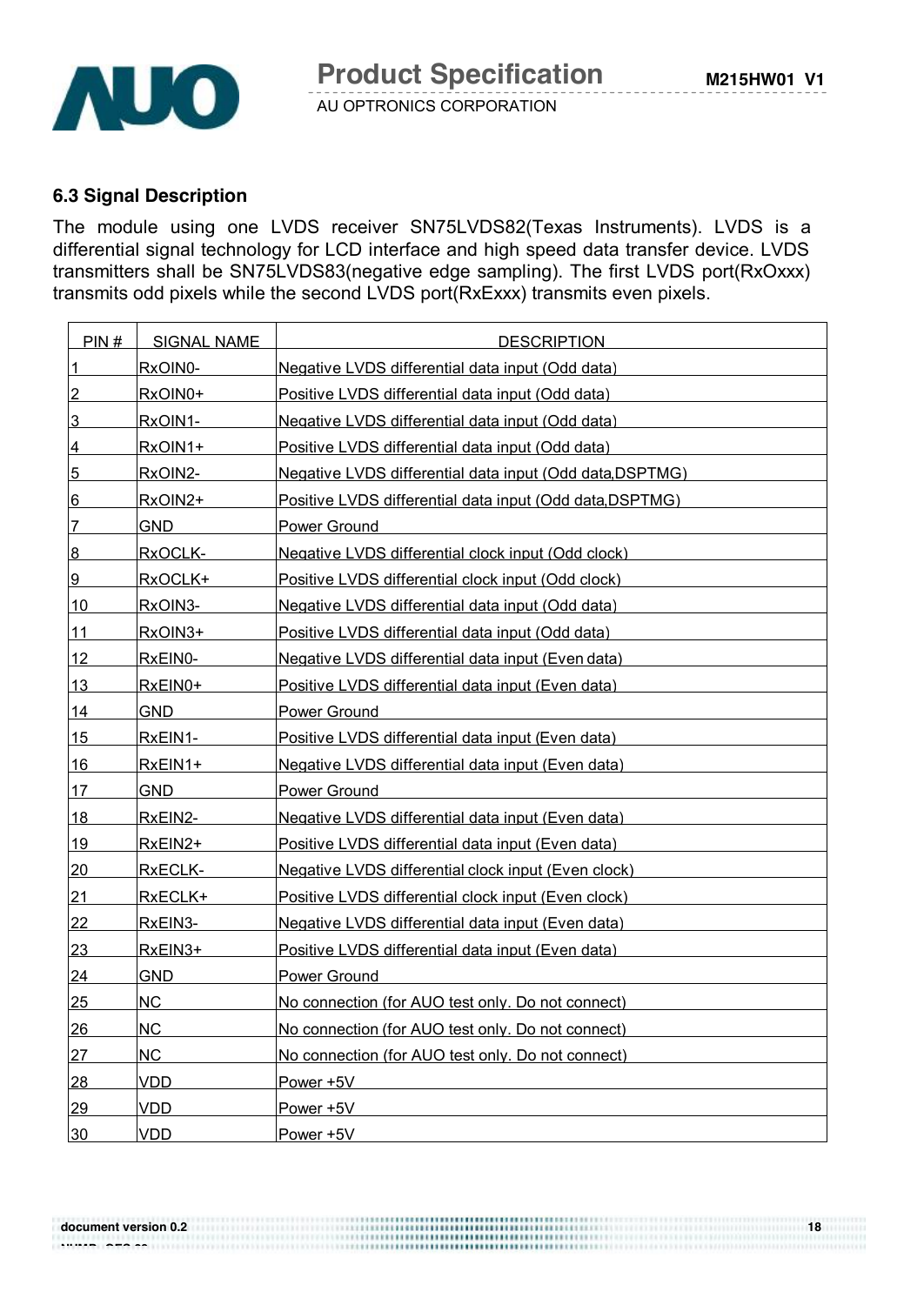

# **6.3 Signal Description**

The module using one LVDS receiver SN75LVDS82(Texas Instruments). LVDS is a differential signal technology for LCD interface and high speed data transfer device. LVDS transmitters shall be SN75LVDS83(negative edge sampling). The first LVDS port(RxOxxx) transmits odd pixels while the second LVDS port(RxExxx) transmits even pixels.

| PIN#           | <b>SIGNAL NAME</b> | <b>DESCRIPTION</b>                                       |
|----------------|--------------------|----------------------------------------------------------|
| 1              | RxOIN0-            | Negative LVDS differential data input (Odd data)         |
| $\overline{2}$ | RxOIN0+            | Positive LVDS differential data input (Odd data)         |
| 3              | RxOIN1-            | Negative LVDS differential data input (Odd data)         |
| 4              | RxOIN1+            | Positive LVDS differential data input (Odd data)         |
| 5              | RxOIN2-            | Negative LVDS differential data input (Odd data, DSPTMG) |
| 6              | RxOIN2+            | Positive LVDS differential data input (Odd data, DSPTMG) |
| 7              | <u>GND</u>         | <b>Power Ground</b>                                      |
| $8\phantom{1}$ | RxOCLK-            | Negative LVDS differential clock input (Odd clock)       |
| 9              | RxOCLK+            | Positive LVDS differential clock input (Odd clock)       |
| 10             | RxOIN3-            | Negative LVDS differential data input (Odd data)         |
| 11             | RxOIN3+            | Positive LVDS differential data input (Odd data)         |
| 12             | RxEIN0-            | Negative LVDS differential data input (Even data)        |
| 13             | RxEIN0+            | Positive LVDS differential data input (Even data)        |
| 14             | <b>GND</b>         | <b>Power Ground</b>                                      |
| 15             | RxEIN1-            | Positive LVDS differential data input (Even data)        |
| 16             | RxEIN1+            | Negative LVDS differential data input (Even data)        |
| 17             | <b>GND</b>         | Power Ground                                             |
| 18             | RxEIN2-            | Negative LVDS differential data input (Even data)        |
| 19             | RxEIN2+            | Positive LVDS differential data input (Even data)        |
| 20             | RxECLK-            | Negative LVDS differential clock input (Even clock)      |
| 21             | RxECLK+            | Positive LVDS differential clock input (Even clock)      |
| 22             | RxEIN3-            | Negative LVDS differential data input (Even data)        |
| 23             | RxEIN3+            | Positive LVDS differential data input (Even data)        |
| 24             | <b>GND</b>         | Power Ground                                             |
| 25             | <b>NC</b>          | No connection (for AUO test only. Do not connect)        |
| 26             | <b>NC</b>          | No connection (for AUO test only. Do not connect)        |
| 27             | <b>NC</b>          | No connection (for AUO test only. Do not connect)        |
| 28             | <b>VDD</b>         | Power +5V                                                |
| 29             | <b>VDD</b>         | Power +5V                                                |
| 30             | <b>VDD</b>         | Power +5V                                                |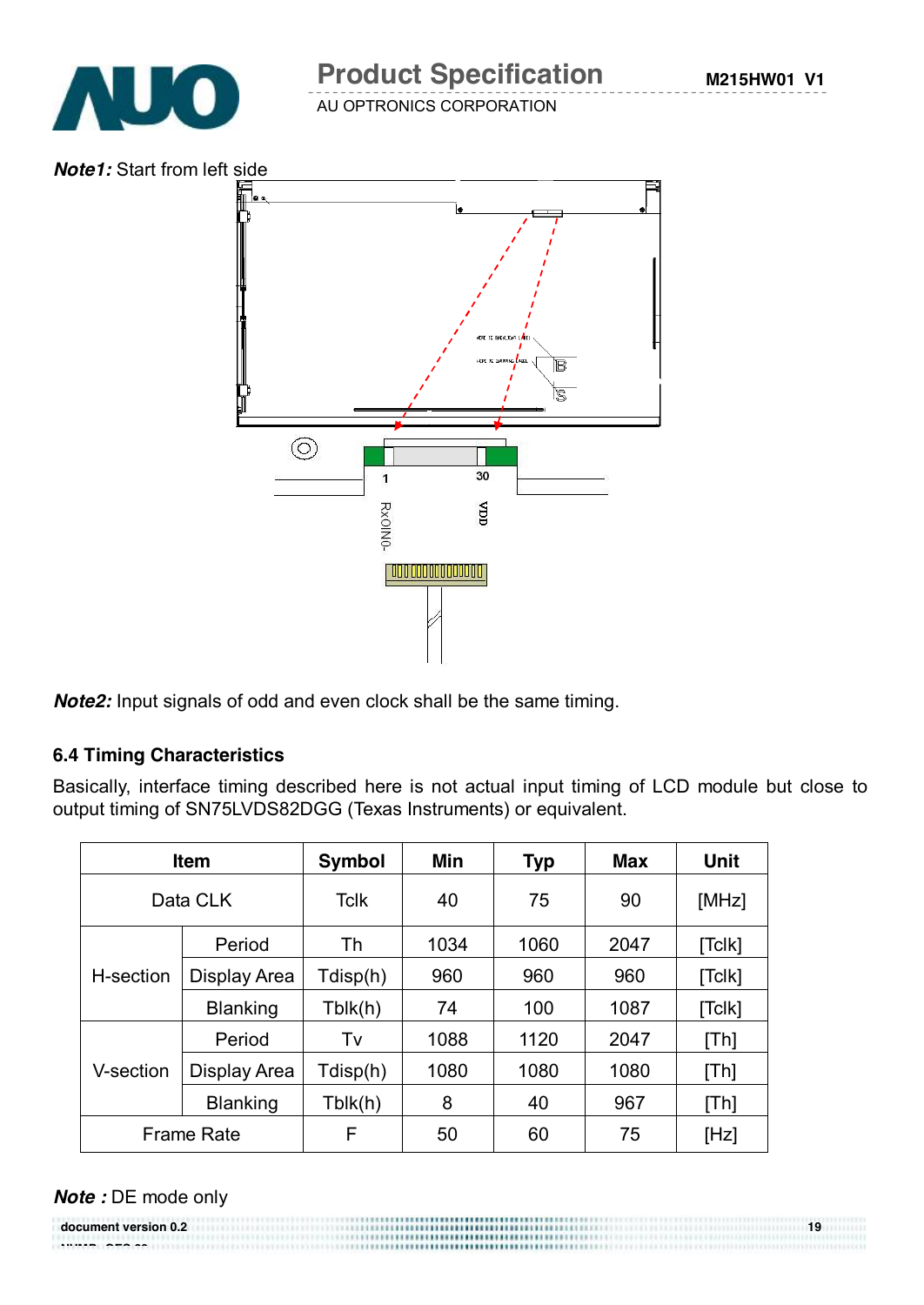

# **Product Specification**

AU OPTRONICS CORPORATION

*Note1:* Start from left side



*Note2:* Input signals of odd and even clock shall be the same timing.

#### **6.4 Timing Characteristics**

Basically, interface timing described here is not actual input timing of LCD module but close to output timing of SN75LVDS82DGG (Texas Instruments) or equivalent.

| <b>Item</b>       |                 | <b>Symbol</b> | Min  | <b>Typ</b> | <b>Max</b> | <b>Unit</b>      |
|-------------------|-----------------|---------------|------|------------|------------|------------------|
| Data CLK          |                 | <b>Tclk</b>   | 40   | 75         | 90         | [MHz]            |
|                   | Period          | Th            | 1034 | 1060       | 2047       | [Tc[k]           |
| H-section         | Display Area    | Tdisp(h)      | 960  | 960        | 960        | [Tc <sub>l</sub> |
|                   | <b>Blanking</b> | Tblk(h)       | 74   | 100        | 1087       | [Tc <sub>l</sub> |
|                   | Period          | Tv            | 1088 | 1120       | 2047       | [Th]             |
| V-section         | Display Area    | Tdisp(h)      | 1080 | 1080       | 1080       | [Th]             |
| <b>Blanking</b>   |                 | Tblk(h)       | 8    | 40         | 967        | [Th]             |
| <b>Frame Rate</b> |                 | F             | 50   | 60         | 75         | [Hz]             |

#### *Note :* DE mode only

**document version 0.2 19 NUMP GES 29**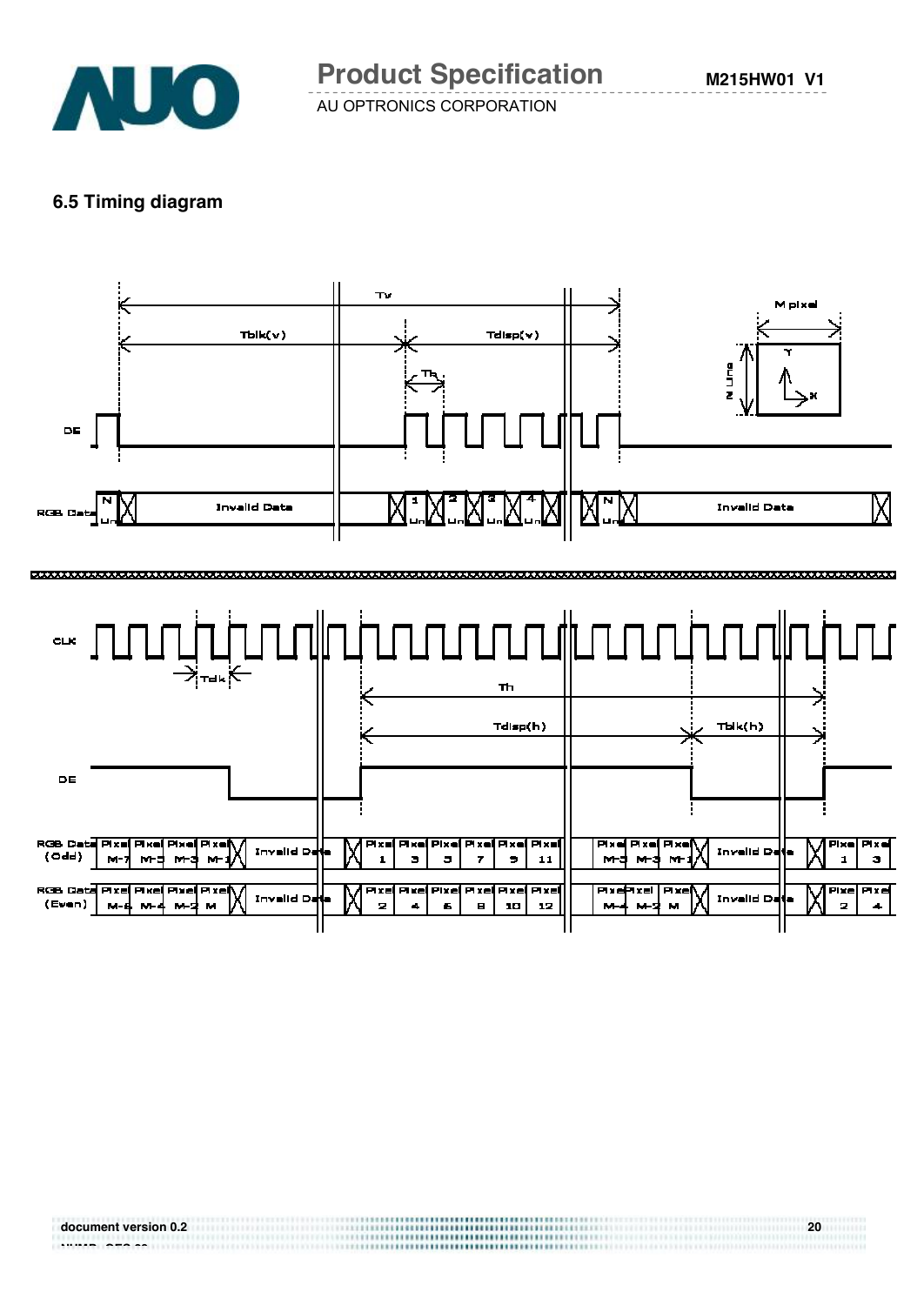

#### **6.5 Timing diagram**

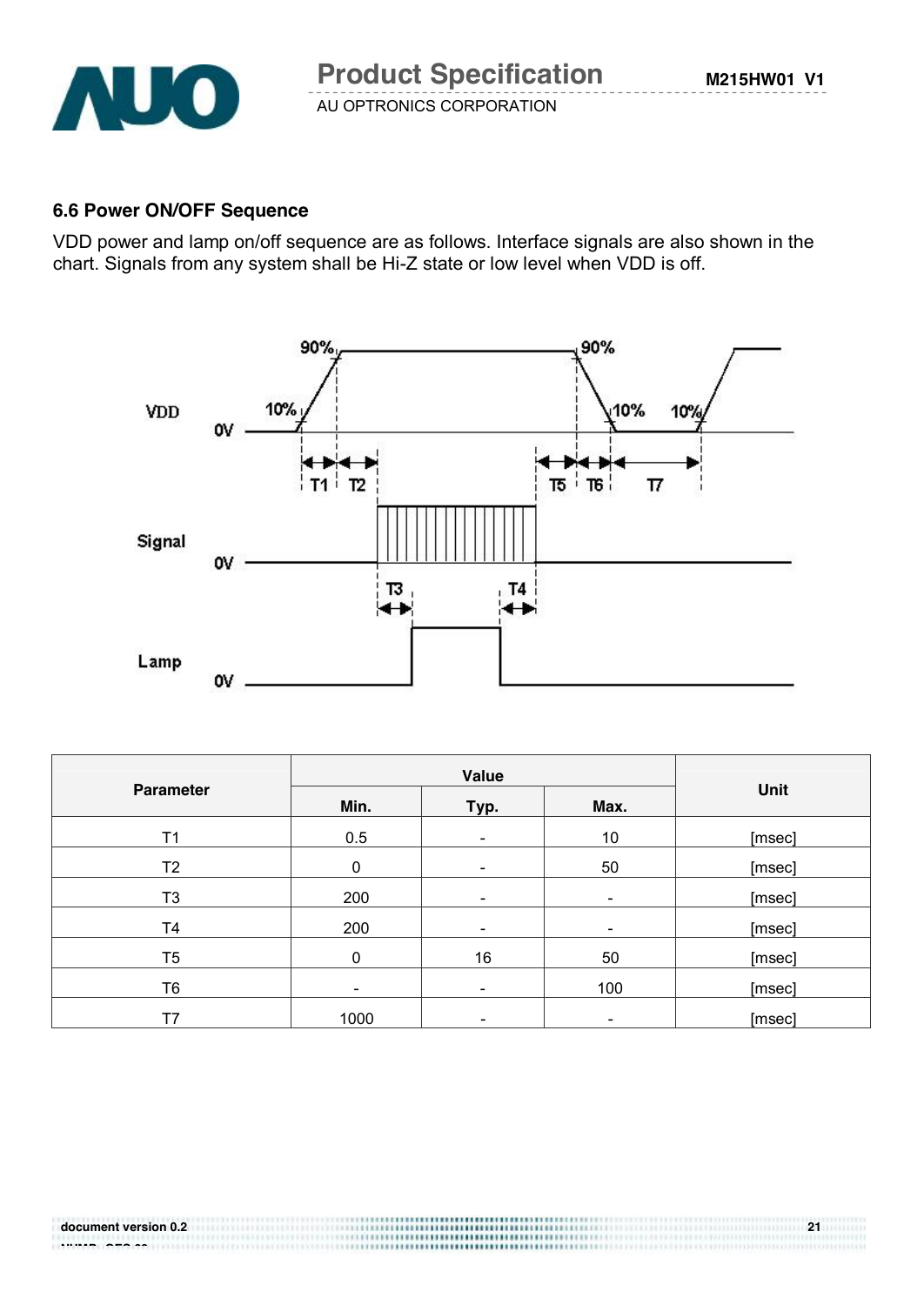

#### **6.6 Power ON/OFF Sequence**

VDD power and lamp on/off sequence are as follows. Interface signals are also shown in the chart. Signals from any system shall be Hi-Z state or low level when VDD is off.



| <b>Parameter</b> | Min.<br>Typ. |                          | Max.                     | Unit   |
|------------------|--------------|--------------------------|--------------------------|--------|
| T1               | 0.5          | $\overline{\phantom{a}}$ | 10                       | [msec] |
| T <sub>2</sub>   | $\mathbf{0}$ | $\blacksquare$           | 50                       | [msec] |
| T <sub>3</sub>   | 200          | $\overline{\phantom{a}}$ | $\overline{\phantom{a}}$ | [msec] |
| T4               | 200          | $\overline{\phantom{a}}$ | $\overline{\phantom{a}}$ | [msec] |
| T5               | $\Omega$     | 16                       | 50                       | [msec] |
| T6               | -            | $\overline{\phantom{a}}$ | 100                      | [msec] |
| T7               | 1000         | $\overline{\phantom{a}}$ | $\overline{\phantom{a}}$ | [msec] |

#### **document version 0.2** 21 **NUMBER 699 1999 1999**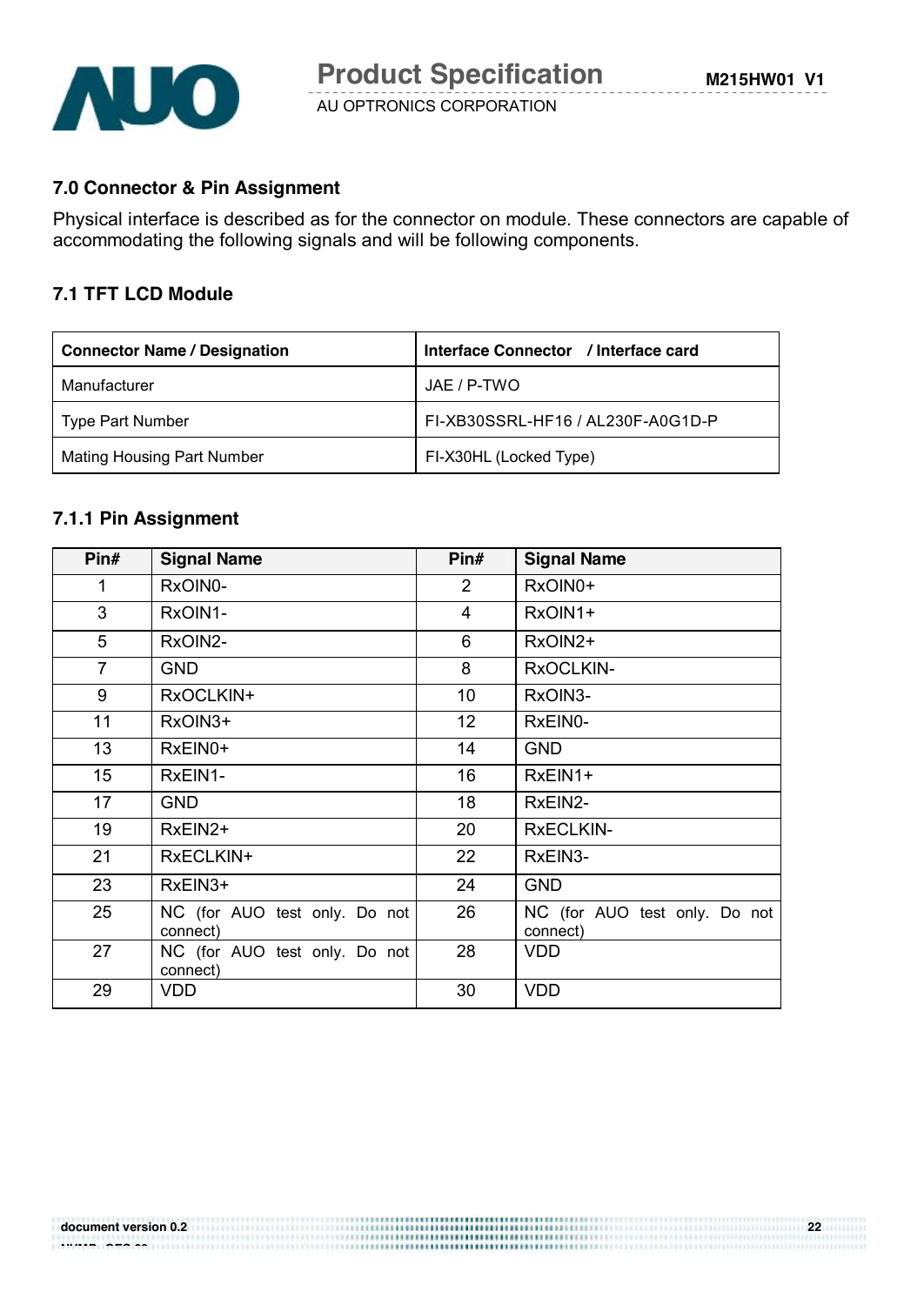

#### **7.0 Connector & Pin Assignment**

Physical interface is described as for the connector on module. These connectors are capable of accommodating the following signals and will be following components.

#### **7.1 TFT LCD Module**

| <b>Connector Name / Designation</b> | Interface Connector / Interface card |
|-------------------------------------|--------------------------------------|
| Manufacturer                        | JAE / P-TWO                          |
| Type Part Number                    | FI-XB30SSRL-HF16 / AL230F-A0G1D-P    |
| Mating Housing Part Number          | FI-X30HL (Locked Type)               |

#### **7.1.1 Pin Assignment**

| Pin#             | <b>Signal Name</b>                        | Pin#           | <b>Signal Name</b>                        |
|------------------|-------------------------------------------|----------------|-------------------------------------------|
| 1                | RxOIN0-                                   | $\overline{2}$ | RxOIN0+                                   |
| 3                | RxOIN1-                                   | $\overline{4}$ | RxOIN1+                                   |
| 5                | RxOIN2-                                   | 6              | RxOIN2+                                   |
| $\overline{7}$   | <b>GND</b>                                | 8              | RxOCLKIN-                                 |
| 9                | RxOCLKIN+                                 | 10             | RxOIN3-                                   |
| 11               | RxOIN3+                                   | 12             | RxEIN0-                                   |
| 13               | RxEIN0+                                   | 14             | <b>GND</b>                                |
| 15 <sub>15</sub> | RxEIN1-                                   | 16             | RxEIN1+                                   |
| 17               | <b>GND</b>                                | 18             | RxEIN2-                                   |
| 19               | RxEIN2+                                   | 20             | <b>RxECLKIN-</b>                          |
| 21               | RxECLKIN+                                 | 22             | RxEIN3-                                   |
| 23               | RxEIN3+                                   | 24             | <b>GND</b>                                |
| 25               | NC (for AUO test only. Do not<br>connect) | 26             | NC (for AUO test only. Do not<br>connect) |
| 27               | NC (for AUO test only. Do not<br>connect) | 28             | <b>VDD</b>                                |
| 29               | <b>VDD</b>                                | 30             | <b>VDD</b>                                |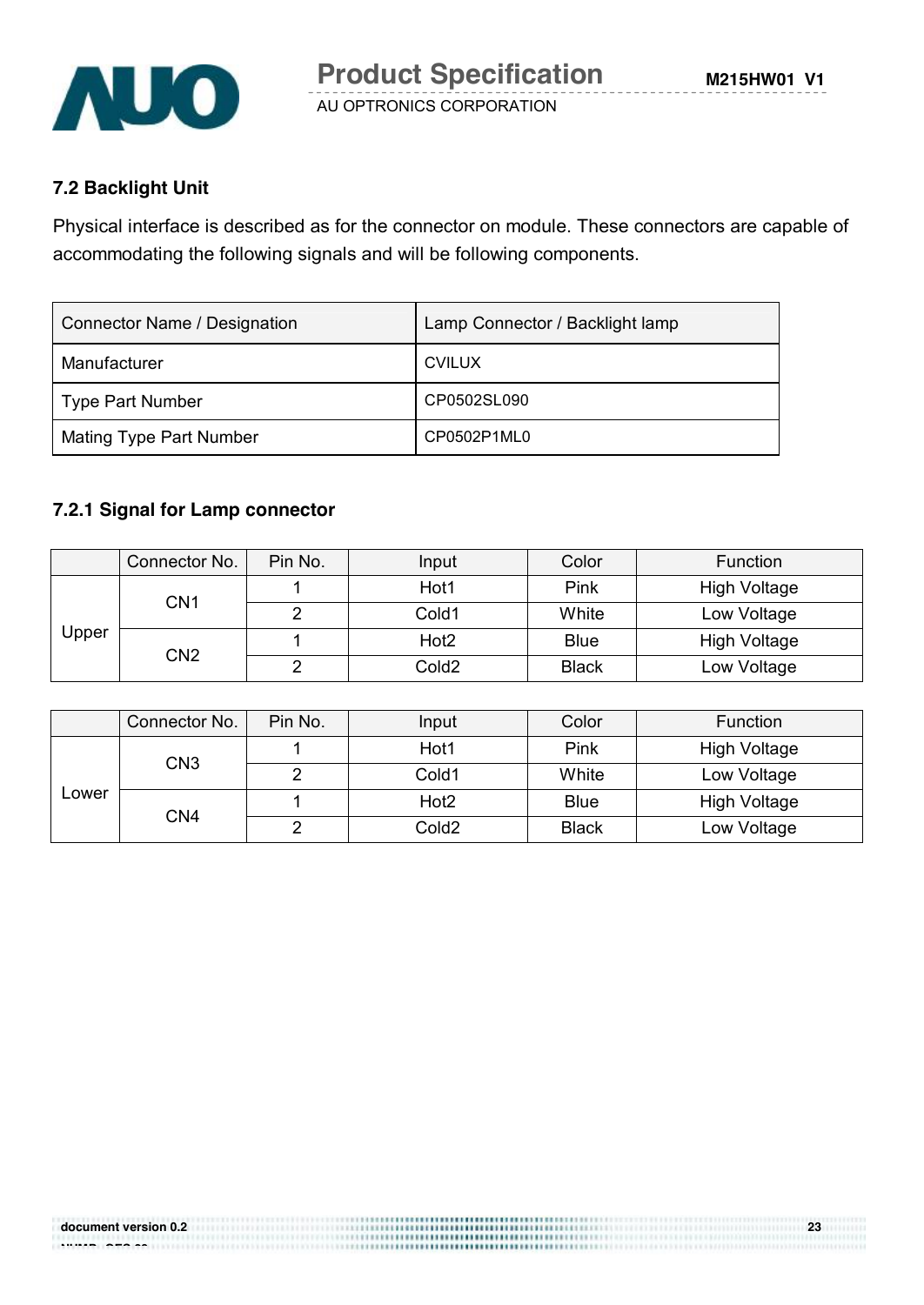

### **7.2 Backlight Unit**

Physical interface is described as for the connector on module. These connectors are capable of accommodating the following signals and will be following components.

| <b>Connector Name / Designation</b> | Lamp Connector / Backlight lamp |
|-------------------------------------|---------------------------------|
| Manufacturer                        | <b>CVILUX</b>                   |
| <b>Type Part Number</b>             | CP0502SL090                     |
| <b>Mating Type Part Number</b>      | CP0502P1ML0                     |

#### **7.2.1 Signal for Lamp connector**

|                 | Connector No. | Pin No.           | Input            | Color       | <b>Function</b>     |
|-----------------|---------------|-------------------|------------------|-------------|---------------------|
|                 | CN1           |                   | Hot1             | Pink        | <b>High Voltage</b> |
|                 |               |                   | Cold1            | White       | Low Voltage         |
| Upper           |               |                   | Hot <sub>2</sub> | <b>Blue</b> | <b>High Voltage</b> |
| CN <sub>2</sub> |               | Cold <sub>2</sub> | <b>Black</b>     | Low Voltage |                     |

|       | Connector No.   | Pin No.           | Input            | Color       | <b>Function</b>     |
|-------|-----------------|-------------------|------------------|-------------|---------------------|
|       |                 |                   | Hot1             | Pink        | High Voltage        |
|       | CN <sub>3</sub> |                   | Cold1            | White       | Low Voltage         |
| Lower |                 |                   | Hot <sub>2</sub> | <b>Blue</b> | <b>High Voltage</b> |
| CN4   |                 | Cold <sub>2</sub> | <b>Black</b>     | Low Voltage |                     |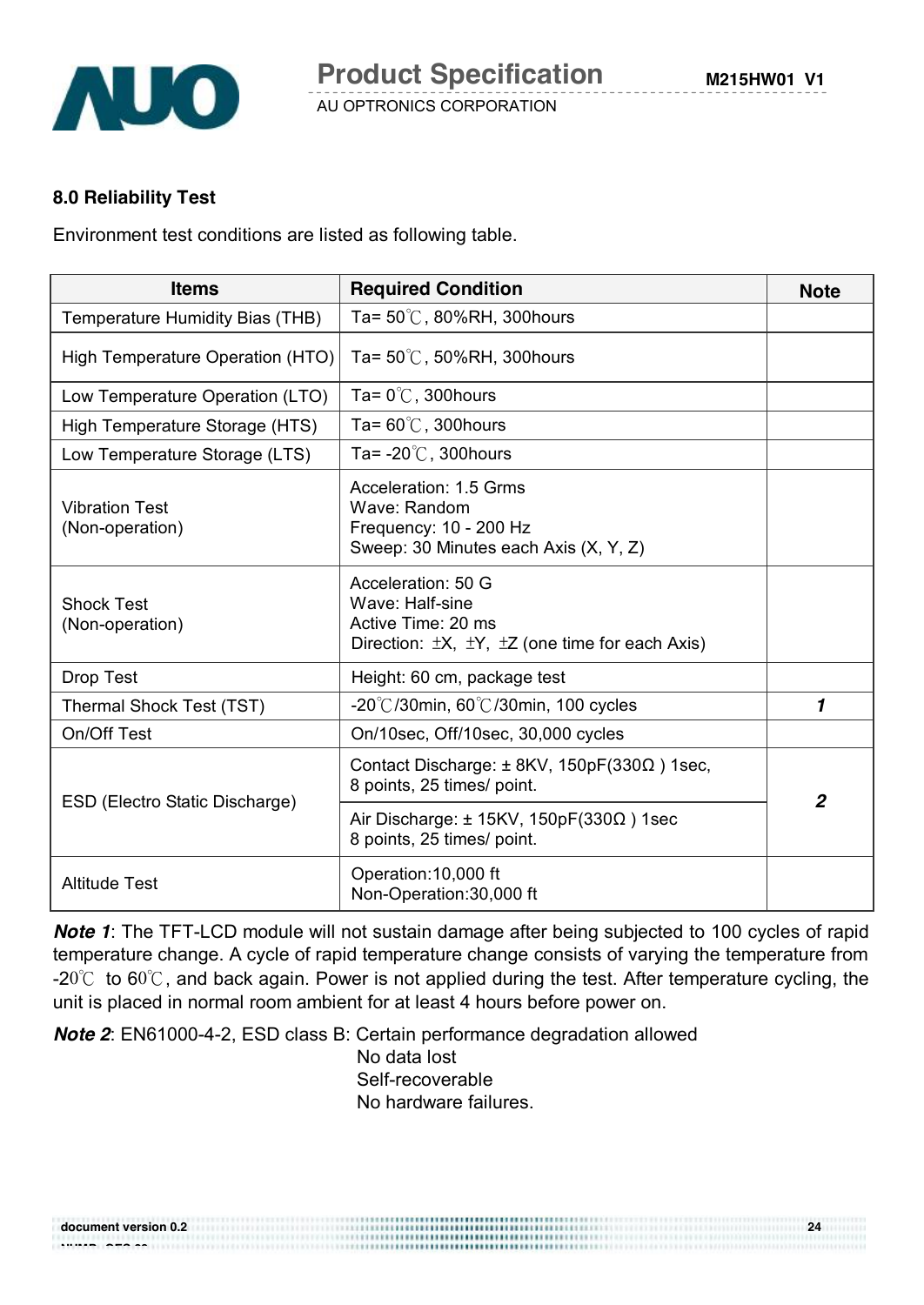

#### **8.0 Reliability Test**

Environment test conditions are listed as following table.

| <b>Items</b>                             | <b>Required Condition</b>                                                                                                      | <b>Note</b>    |
|------------------------------------------|--------------------------------------------------------------------------------------------------------------------------------|----------------|
| Temperature Humidity Bias (THB)          | Ta= $50^{\circ}$ C, 80%RH, 300hours                                                                                            |                |
| High Temperature Operation (HTO)         | Ta= $50^{\circ}$ C, 50%RH, 300 hours                                                                                           |                |
| Low Temperature Operation (LTO)          | Ta= $0^{\circ}$ C, 300 hours                                                                                                   |                |
| High Temperature Storage (HTS)           | Ta= $60^{\circ}$ C, 300 hours                                                                                                  |                |
| Low Temperature Storage (LTS)            | Ta= $-20^{\circ}$ C, 300 hours                                                                                                 |                |
| <b>Vibration Test</b><br>(Non-operation) | Acceleration: 1.5 Grms<br>Wave: Random<br>Frequency: 10 - 200 Hz<br>Sweep: 30 Minutes each Axis (X, Y, Z)                      |                |
| <b>Shock Test</b><br>(Non-operation)     | Acceleration: 50 G<br>Wave: Half-sine<br>Active Time: 20 ms<br>Direction: $\pm X$ , $\pm Y$ , $\pm Z$ (one time for each Axis) |                |
| <b>Drop Test</b>                         | Height: 60 cm, package test                                                                                                    |                |
| Thermal Shock Test (TST)                 | $-20^{\circ}$ /30min, 60 $^{\circ}$ /30min, 100 cycles                                                                         | 1              |
| On/Off Test                              | On/10sec, Off/10sec, 30,000 cycles                                                                                             |                |
| ESD (Electro Static Discharge)           | Contact Discharge: $\pm$ 8KV, 150pF(330 $\Omega$ ) 1sec,<br>8 points, 25 times/ point.                                         | $\overline{2}$ |
|                                          | Air Discharge: $\pm$ 15KV, 150pF(330 $\Omega$ ) 1sec<br>8 points, 25 times/ point.                                             |                |
| <b>Altitude Test</b>                     | Operation: 10,000 ft<br>Non-Operation:30,000 ft                                                                                |                |

*Note 1*: The TFT-LCD module will not sustain damage after being subjected to 100 cycles of rapid temperature change. A cycle of rapid temperature change consists of varying the temperature from -20℃ to 60℃, and back again. Power is not applied during the test. After temperature cycling, the unit is placed in normal room ambient for at least 4 hours before power on.

*Note 2*: EN61000-4-2, ESD class B: Certain performance degradation allowed

No data lost Self-recoverable No hardware failures.

| document version 0.2 |         | 24 |
|----------------------|---------|----|
|                      |         |    |
| -------<br>-----     | <b></b> |    |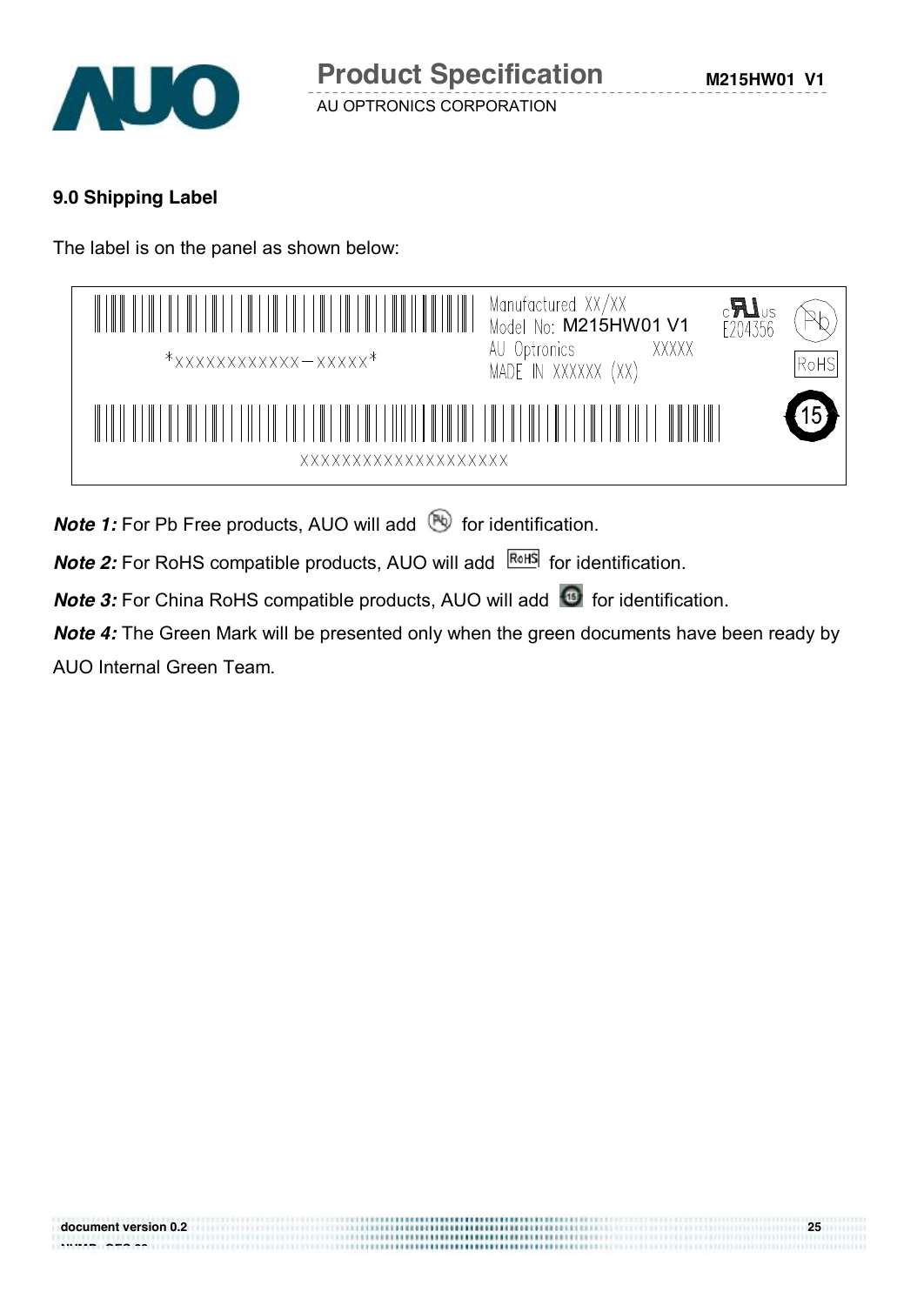

## **9.0 Shipping Label**

The label is on the panel as shown below:

| $*$ xxxxxxxxxxxx - xxxxx $*$ | Manufactured XX/XX<br>Model No: M215HW01 V1<br>$c$ <b>A</b><br>E204356<br>XXXXX<br>AU Optronics<br>RoHS<br>MADE IN XXXXXX (XX) |
|------------------------------|--------------------------------------------------------------------------------------------------------------------------------|
| XXXXXXXXXXXXXXXXXXXX         |                                                                                                                                |

*Note 1:* For Pb Free products, AUO will add **b** for identification.

*Note 2:* For RoHS compatible products, AUO will add **ROHS** for identification.

*Note 3:* For China RoHS compatible products, AUO will add **C** for identification.

*Note 4:* The Green Mark will be presented only when the green documents have been ready by AUO Internal Green Team.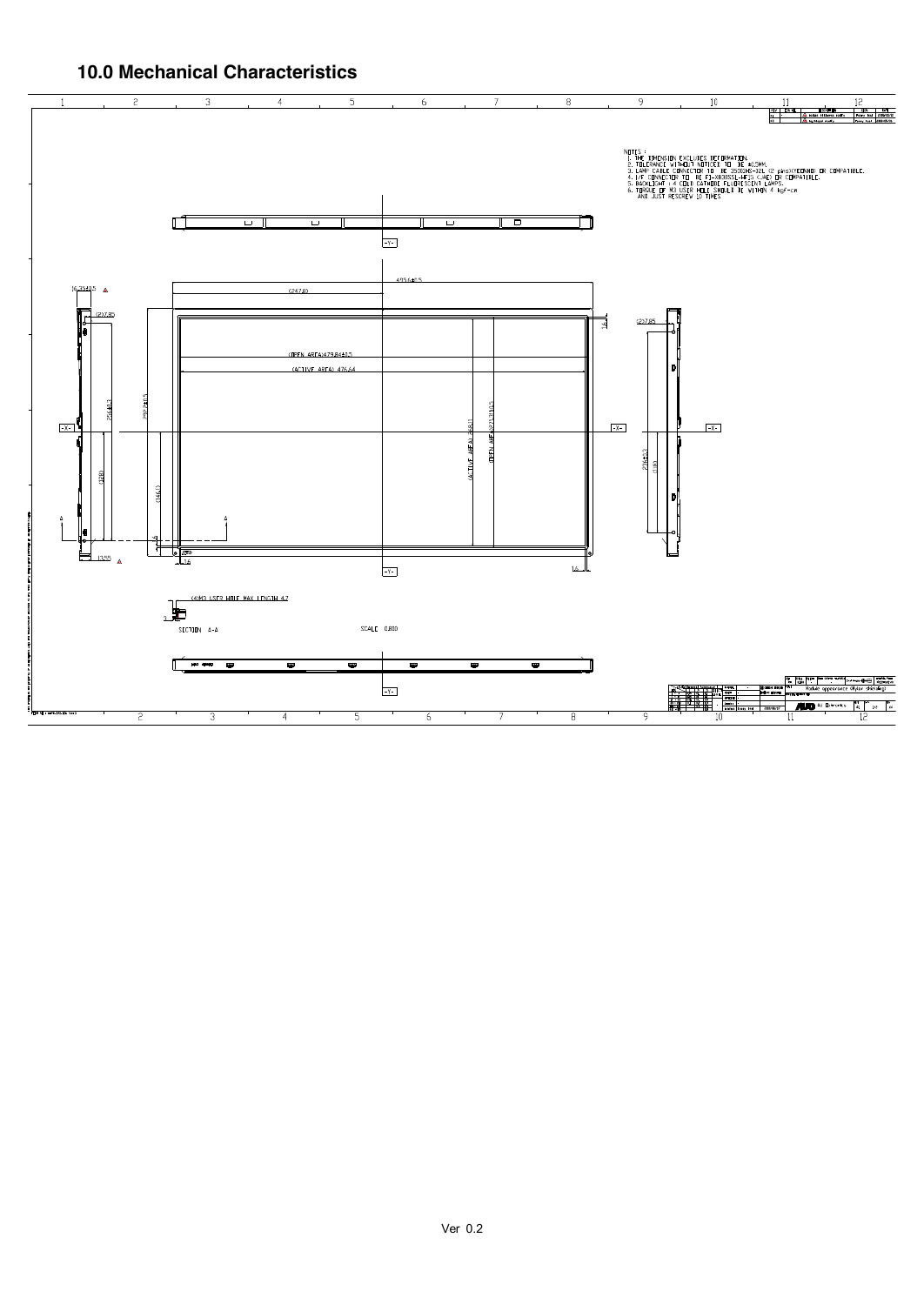